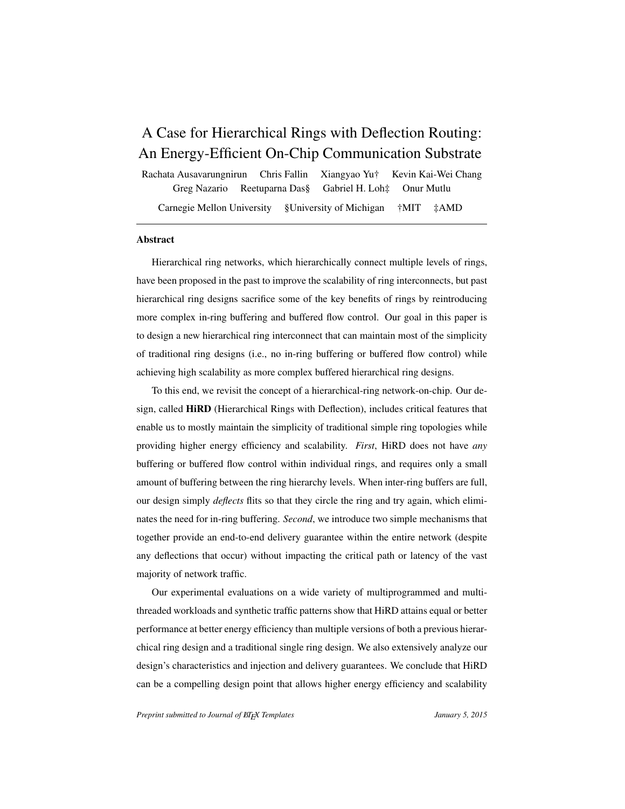# A Case for Hierarchical Rings with Deflection Routing: An Energy-Efficient On-Chip Communication Substrate

Rachata Ausavarungnirun Chris Fallin Xiangyao Yu† Kevin Kai-Wei Chang Greg Nazario Reetuparna Das§ Gabriel H. Loh‡ Onur Mutlu Carnegie Mellon University §University of Michigan †MIT ‡AMD

#### Abstract

Hierarchical ring networks, which hierarchically connect multiple levels of rings, have been proposed in the past to improve the scalability of ring interconnects, but past hierarchical ring designs sacrifice some of the key benefits of rings by reintroducing more complex in-ring buffering and buffered flow control. Our goal in this paper is to design a new hierarchical ring interconnect that can maintain most of the simplicity of traditional ring designs (i.e., no in-ring buffering or buffered flow control) while achieving high scalability as more complex buffered hierarchical ring designs.

To this end, we revisit the concept of a hierarchical-ring network-on-chip. Our design, called HiRD (Hierarchical Rings with Deflection), includes critical features that enable us to mostly maintain the simplicity of traditional simple ring topologies while providing higher energy efficiency and scalability. *First*, HiRD does not have *any* buffering or buffered flow control within individual rings, and requires only a small amount of buffering between the ring hierarchy levels. When inter-ring buffers are full, our design simply *deflects* flits so that they circle the ring and try again, which eliminates the need for in-ring buffering. *Second*, we introduce two simple mechanisms that together provide an end-to-end delivery guarantee within the entire network (despite any deflections that occur) without impacting the critical path or latency of the vast majority of network traffic.

Our experimental evaluations on a wide variety of multiprogrammed and multithreaded workloads and synthetic traffic patterns show that HiRD attains equal or better performance at better energy efficiency than multiple versions of both a previous hierarchical ring design and a traditional single ring design. We also extensively analyze our design's characteristics and injection and delivery guarantees. We conclude that HiRD can be a compelling design point that allows higher energy efficiency and scalability

*Preprint submitted to Journal of EIFX Templates January 5, 2015*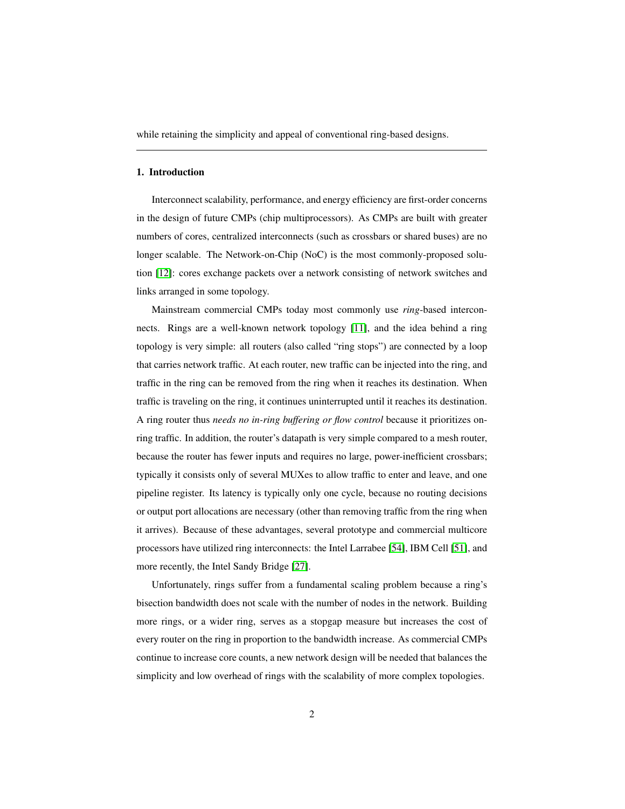while retaining the simplicity and appeal of conventional ring-based designs.

#### 1. Introduction

Interconnect scalability, performance, and energy efficiency are first-order concerns in the design of future CMPs (chip multiprocessors). As CMPs are built with greater numbers of cores, centralized interconnects (such as crossbars or shared buses) are no longer scalable. The Network-on-Chip (NoC) is the most commonly-proposed solution [\[12\]](#page-29-0): cores exchange packets over a network consisting of network switches and links arranged in some topology.

Mainstream commercial CMPs today most commonly use *ring*-based interconnects. Rings are a well-known network topology [\[11\]](#page-29-1), and the idea behind a ring topology is very simple: all routers (also called "ring stops") are connected by a loop that carries network traffic. At each router, new traffic can be injected into the ring, and traffic in the ring can be removed from the ring when it reaches its destination. When traffic is traveling on the ring, it continues uninterrupted until it reaches its destination. A ring router thus *needs no in-ring buffering or flow control* because it prioritizes onring traffic. In addition, the router's datapath is very simple compared to a mesh router, because the router has fewer inputs and requires no large, power-inefficient crossbars; typically it consists only of several MUXes to allow traffic to enter and leave, and one pipeline register. Its latency is typically only one cycle, because no routing decisions or output port allocations are necessary (other than removing traffic from the ring when it arrives). Because of these advantages, several prototype and commercial multicore processors have utilized ring interconnects: the Intel Larrabee [\[54\]](#page-30-0), IBM Cell [\[51\]](#page-30-1), and more recently, the Intel Sandy Bridge [\[27\]](#page-29-2).

Unfortunately, rings suffer from a fundamental scaling problem because a ring's bisection bandwidth does not scale with the number of nodes in the network. Building more rings, or a wider ring, serves as a stopgap measure but increases the cost of every router on the ring in proportion to the bandwidth increase. As commercial CMPs continue to increase core counts, a new network design will be needed that balances the simplicity and low overhead of rings with the scalability of more complex topologies.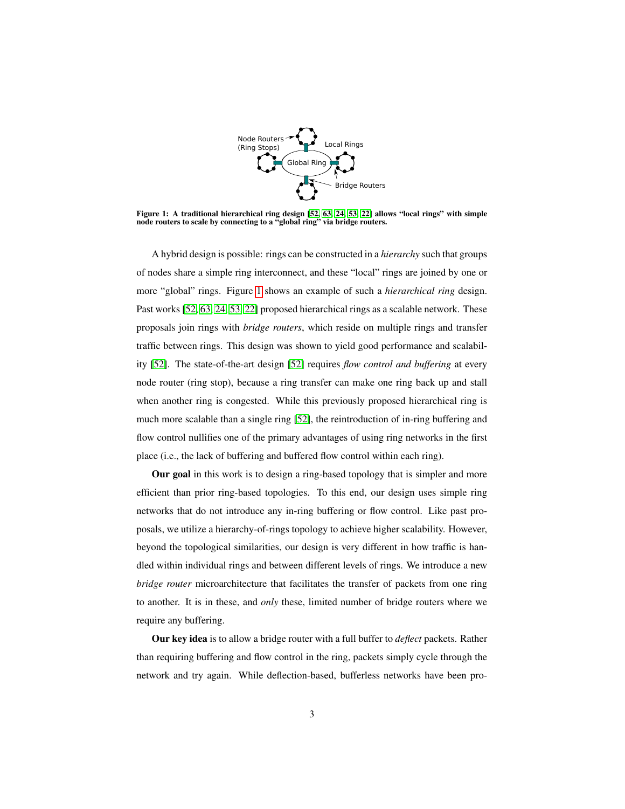

<span id="page-2-0"></span>Figure 1: A traditional hierarchical ring design [\[52,](#page-30-2) [63,](#page-30-3) [24,](#page-29-3) [53,](#page-30-4) [22\]](#page-29-4) allows "local rings" with simple node routers to scale by connecting to a "global ring" via bridge routers.

A hybrid design is possible: rings can be constructed in a *hierarchy* such that groups of nodes share a simple ring interconnect, and these "local" rings are joined by one or more "global" rings. Figure [1](#page-2-0) shows an example of such a *hierarchical ring* design. Past works [\[52,](#page-30-2) [63,](#page-30-3) [24,](#page-29-3) [53,](#page-30-4) [22\]](#page-29-4) proposed hierarchical rings as a scalable network. These proposals join rings with *bridge routers*, which reside on multiple rings and transfer traffic between rings. This design was shown to yield good performance and scalability [\[52\]](#page-30-2). The state-of-the-art design [\[52\]](#page-30-2) requires *flow control and buffering* at every node router (ring stop), because a ring transfer can make one ring back up and stall when another ring is congested. While this previously proposed hierarchical ring is much more scalable than a single ring [\[52\]](#page-30-2), the reintroduction of in-ring buffering and flow control nullifies one of the primary advantages of using ring networks in the first place (i.e., the lack of buffering and buffered flow control within each ring).

Our goal in this work is to design a ring-based topology that is simpler and more efficient than prior ring-based topologies. To this end, our design uses simple ring networks that do not introduce any in-ring buffering or flow control. Like past proposals, we utilize a hierarchy-of-rings topology to achieve higher scalability. However, beyond the topological similarities, our design is very different in how traffic is handled within individual rings and between different levels of rings. We introduce a new *bridge router* microarchitecture that facilitates the transfer of packets from one ring to another. It is in these, and *only* these, limited number of bridge routers where we require any buffering.

Our key idea is to allow a bridge router with a full buffer to *deflect* packets. Rather than requiring buffering and flow control in the ring, packets simply cycle through the network and try again. While deflection-based, bufferless networks have been pro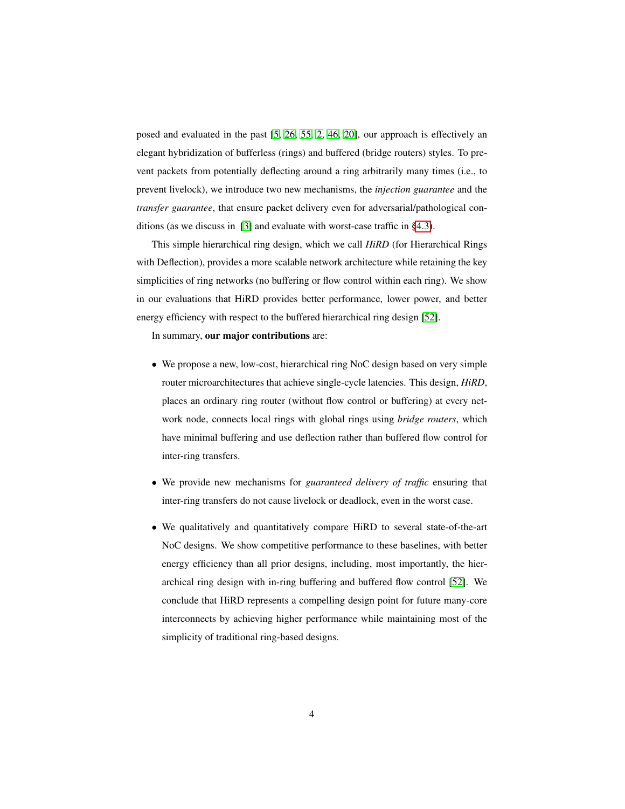posed and evaluated in the past [\[5,](#page-29-5) [26,](#page-29-6) [55,](#page-30-5) [2,](#page-29-7) [46,](#page-30-6) [20\]](#page-29-8), our approach is effectively an elegant hybridization of bufferless (rings) and buffered (bridge routers) styles. To prevent packets from potentially deflecting around a ring arbitrarily many times (i.e., to prevent livelock), we introduce two new mechanisms, the *injection guarantee* and the *transfer guarantee*, that ensure packet delivery even for adversarial/pathological conditions (as we discuss in [\[3\]](#page-29-9) and evaluate with worst-case traffic in [§4.3\)](#page-16-0).

This simple hierarchical ring design, which we call *HiRD* (for Hierarchical Rings with Deflection), provides a more scalable network architecture while retaining the key simplicities of ring networks (no buffering or flow control within each ring). We show in our evaluations that HiRD provides better performance, lower power, and better energy efficiency with respect to the buffered hierarchical ring design [\[52\]](#page-30-2).

In summary, our major contributions are:

- We propose a new, low-cost, hierarchical ring NoC design based on very simple router microarchitectures that achieve single-cycle latencies. This design, *HiRD*, places an ordinary ring router (without flow control or buffering) at every network node, connects local rings with global rings using *bridge routers*, which have minimal buffering and use deflection rather than buffered flow control for inter-ring transfers.
- We provide new mechanisms for *guaranteed delivery of traffic* ensuring that inter-ring transfers do not cause livelock or deadlock, even in the worst case.
- We qualitatively and quantitatively compare HiRD to several state-of-the-art NoC designs. We show competitive performance to these baselines, with better energy efficiency than all prior designs, including, most importantly, the hierarchical ring design with in-ring buffering and buffered flow control [\[52\]](#page-30-2). We conclude that HiRD represents a compelling design point for future many-core interconnects by achieving higher performance while maintaining most of the simplicity of traditional ring-based designs.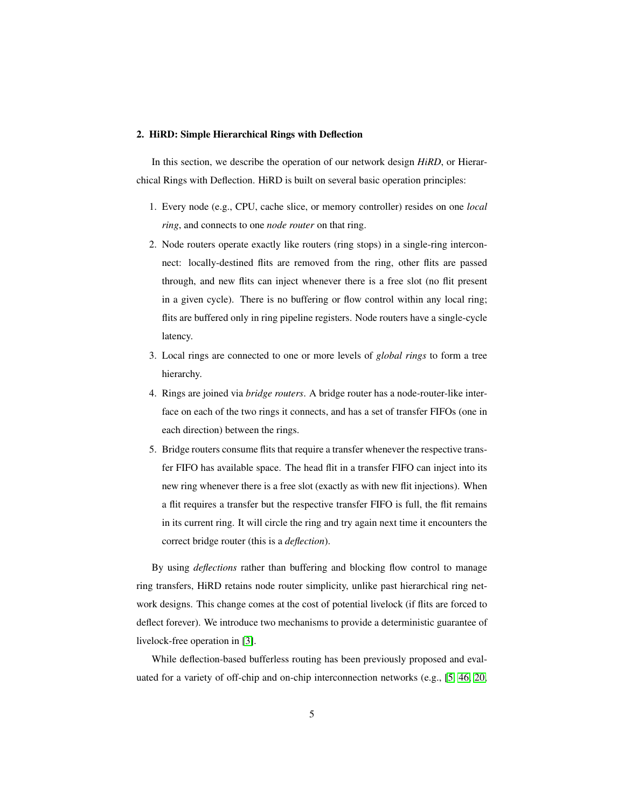# 2. HiRD: Simple Hierarchical Rings with Deflection

In this section, we describe the operation of our network design *HiRD*, or Hierarchical Rings with Deflection. HiRD is built on several basic operation principles:

- 1. Every node (e.g., CPU, cache slice, or memory controller) resides on one *local ring*, and connects to one *node router* on that ring.
- 2. Node routers operate exactly like routers (ring stops) in a single-ring interconnect: locally-destined flits are removed from the ring, other flits are passed through, and new flits can inject whenever there is a free slot (no flit present in a given cycle). There is no buffering or flow control within any local ring; flits are buffered only in ring pipeline registers. Node routers have a single-cycle latency.
- 3. Local rings are connected to one or more levels of *global rings* to form a tree hierarchy.
- 4. Rings are joined via *bridge routers*. A bridge router has a node-router-like interface on each of the two rings it connects, and has a set of transfer FIFOs (one in each direction) between the rings.
- 5. Bridge routers consume flits that require a transfer whenever the respective transfer FIFO has available space. The head flit in a transfer FIFO can inject into its new ring whenever there is a free slot (exactly as with new flit injections). When a flit requires a transfer but the respective transfer FIFO is full, the flit remains in its current ring. It will circle the ring and try again next time it encounters the correct bridge router (this is a *deflection*).

By using *deflections* rather than buffering and blocking flow control to manage ring transfers, HiRD retains node router simplicity, unlike past hierarchical ring network designs. This change comes at the cost of potential livelock (if flits are forced to deflect forever). We introduce two mechanisms to provide a deterministic guarantee of livelock-free operation in [\[3\]](#page-29-9).

While deflection-based bufferless routing has been previously proposed and evaluated for a variety of off-chip and on-chip interconnection networks (e.g., [\[5,](#page-29-5) [46,](#page-30-6) [20,](#page-29-8)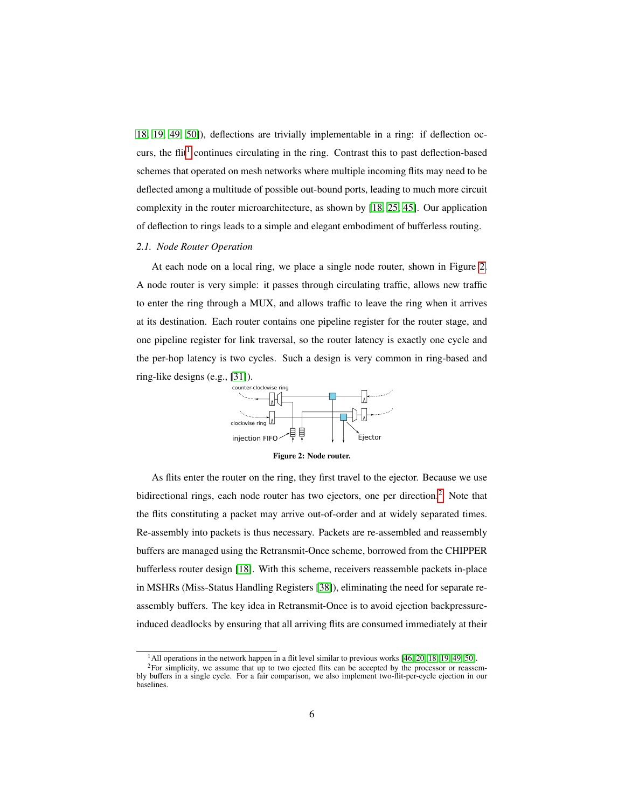[18,](#page-29-10) [19,](#page-29-11) [49,](#page-30-7) [50\]](#page-30-8)), deflections are trivially implementable in a ring: if deflection oc-curs, the flit<sup>[1](#page-5-0)</sup> continues circulating in the ring. Contrast this to past deflection-based schemes that operated on mesh networks where multiple incoming flits may need to be deflected among a multitude of possible out-bound ports, leading to much more circuit complexity in the router microarchitecture, as shown by [\[18,](#page-29-10) [25,](#page-29-12) [45\]](#page-30-9). Our application of deflection to rings leads to a simple and elegant embodiment of bufferless routing.

# *2.1. Node Router Operation*

At each node on a local ring, we place a single node router, shown in Figure [2.](#page-5-1) A node router is very simple: it passes through circulating traffic, allows new traffic to enter the ring through a MUX, and allows traffic to leave the ring when it arrives at its destination. Each router contains one pipeline register for the router stage, and one pipeline register for link traversal, so the router latency is exactly one cycle and the per-hop latency is two cycles. Such a design is very common in ring-based and ring-like designs (e.g., [\[31\]](#page-29-13)).



Figure 2: Node router.

<span id="page-5-1"></span>As flits enter the router on the ring, they first travel to the ejector. Because we use bidirectional rings, each node router has two ejectors, one per direction.<sup>[2](#page-5-2)</sup> Note that the flits constituting a packet may arrive out-of-order and at widely separated times. Re-assembly into packets is thus necessary. Packets are re-assembled and reassembly buffers are managed using the Retransmit-Once scheme, borrowed from the CHIPPER bufferless router design [\[18\]](#page-29-10). With this scheme, receivers reassemble packets in-place in MSHRs (Miss-Status Handling Registers [\[38\]](#page-30-10)), eliminating the need for separate reassembly buffers. The key idea in Retransmit-Once is to avoid ejection backpressureinduced deadlocks by ensuring that all arriving flits are consumed immediately at their

<span id="page-5-2"></span><span id="page-5-0"></span> $1$ All operations in the network happen in a flit level similar to previous works [\[46,](#page-30-6) [20,](#page-29-8) [18,](#page-29-10) [19,](#page-29-11) [49,](#page-30-7) [50\]](#page-30-8).

 $2$ For simplicity, we assume that up to two ejected flits can be accepted by the processor or reassembly buffers in a single cycle. For a fair comparison, we also implement two-flit-per-cycle ejection in our baselines.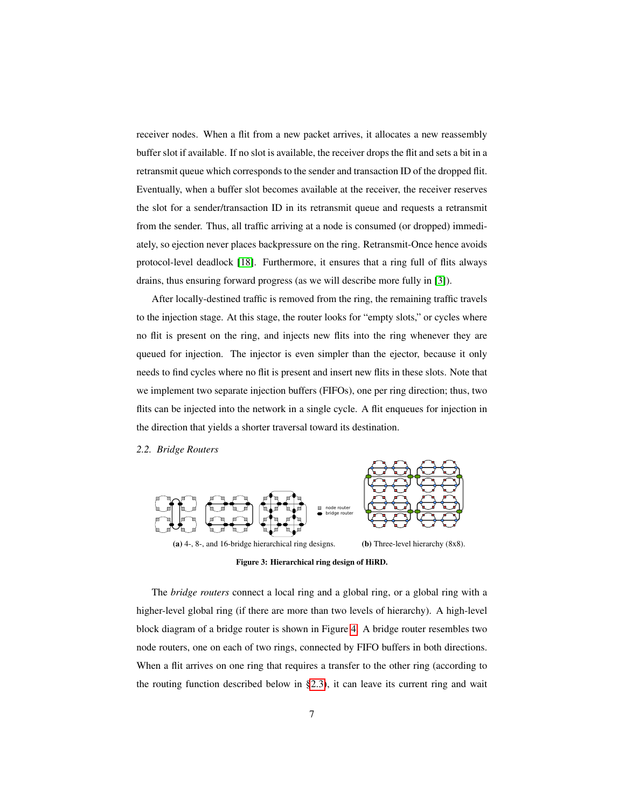receiver nodes. When a flit from a new packet arrives, it allocates a new reassembly buffer slot if available. If no slot is available, the receiver drops the flit and sets a bit in a retransmit queue which corresponds to the sender and transaction ID of the dropped flit. Eventually, when a buffer slot becomes available at the receiver, the receiver reserves the slot for a sender/transaction ID in its retransmit queue and requests a retransmit from the sender. Thus, all traffic arriving at a node is consumed (or dropped) immediately, so ejection never places backpressure on the ring. Retransmit-Once hence avoids protocol-level deadlock [\[18\]](#page-29-10). Furthermore, it ensures that a ring full of flits always drains, thus ensuring forward progress (as we will describe more fully in [\[3\]](#page-29-9)).

After locally-destined traffic is removed from the ring, the remaining traffic travels to the injection stage. At this stage, the router looks for "empty slots," or cycles where no flit is present on the ring, and injects new flits into the ring whenever they are queued for injection. The injector is even simpler than the ejector, because it only needs to find cycles where no flit is present and insert new flits in these slots. Note that we implement two separate injection buffers (FIFOs), one per ring direction; thus, two flits can be injected into the network in a single cycle. A flit enqueues for injection in the direction that yields a shorter traversal toward its destination.

<span id="page-6-2"></span><span id="page-6-0"></span>*2.2. Bridge Routers*



<span id="page-6-1"></span>Figure 3: Hierarchical ring design of HiRD.

The *bridge routers* connect a local ring and a global ring, or a global ring with a higher-level global ring (if there are more than two levels of hierarchy). A high-level block diagram of a bridge router is shown in Figure [4.](#page-7-0) A bridge router resembles two node routers, one on each of two rings, connected by FIFO buffers in both directions. When a flit arrives on one ring that requires a transfer to the other ring (according to the routing function described below in [§2.3\)](#page-8-0), it can leave its current ring and wait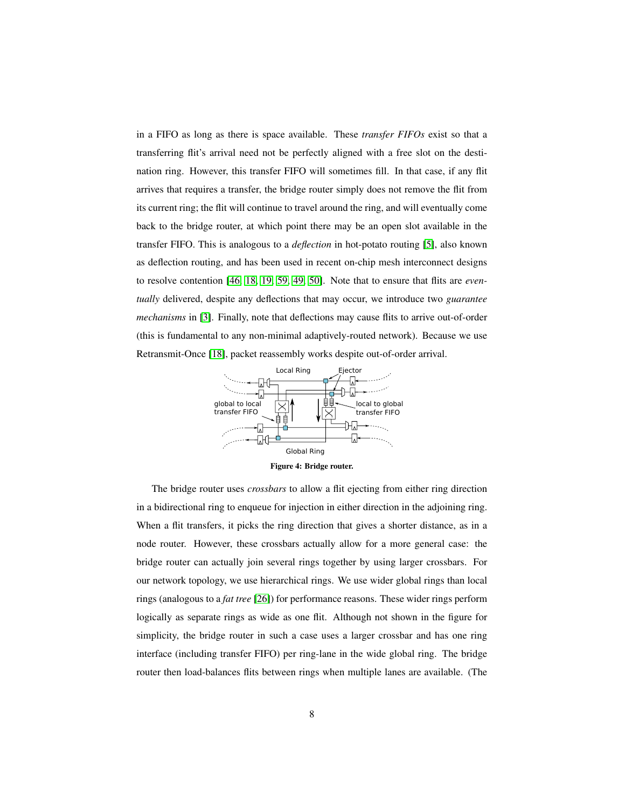in a FIFO as long as there is space available. These *transfer FIFOs* exist so that a transferring flit's arrival need not be perfectly aligned with a free slot on the destination ring. However, this transfer FIFO will sometimes fill. In that case, if any flit arrives that requires a transfer, the bridge router simply does not remove the flit from its current ring; the flit will continue to travel around the ring, and will eventually come back to the bridge router, at which point there may be an open slot available in the transfer FIFO. This is analogous to a *deflection* in hot-potato routing [\[5\]](#page-29-5), also known as deflection routing, and has been used in recent on-chip mesh interconnect designs to resolve contention [\[46,](#page-30-6) [18,](#page-29-10) [19,](#page-29-11) [59,](#page-30-11) [49,](#page-30-7) [50\]](#page-30-8). Note that to ensure that flits are *eventually* delivered, despite any deflections that may occur, we introduce two *guarantee mechanisms* in [\[3\]](#page-29-9). Finally, note that deflections may cause flits to arrive out-of-order (this is fundamental to any non-minimal adaptively-routed network). Because we use Retransmit-Once [\[18\]](#page-29-10), packet reassembly works despite out-of-order arrival.

<span id="page-7-0"></span>



The bridge router uses *crossbars* to allow a flit ejecting from either ring direction in a bidirectional ring to enqueue for injection in either direction in the adjoining ring. When a flit transfers, it picks the ring direction that gives a shorter distance, as in a node router. However, these crossbars actually allow for a more general case: the bridge router can actually join several rings together by using larger crossbars. For our network topology, we use hierarchical rings. We use wider global rings than local rings (analogous to a *fat tree* [\[26\]](#page-29-6)) for performance reasons. These wider rings perform logically as separate rings as wide as one flit. Although not shown in the figure for simplicity, the bridge router in such a case uses a larger crossbar and has one ring interface (including transfer FIFO) per ring-lane in the wide global ring. The bridge router then load-balances flits between rings when multiple lanes are available. (The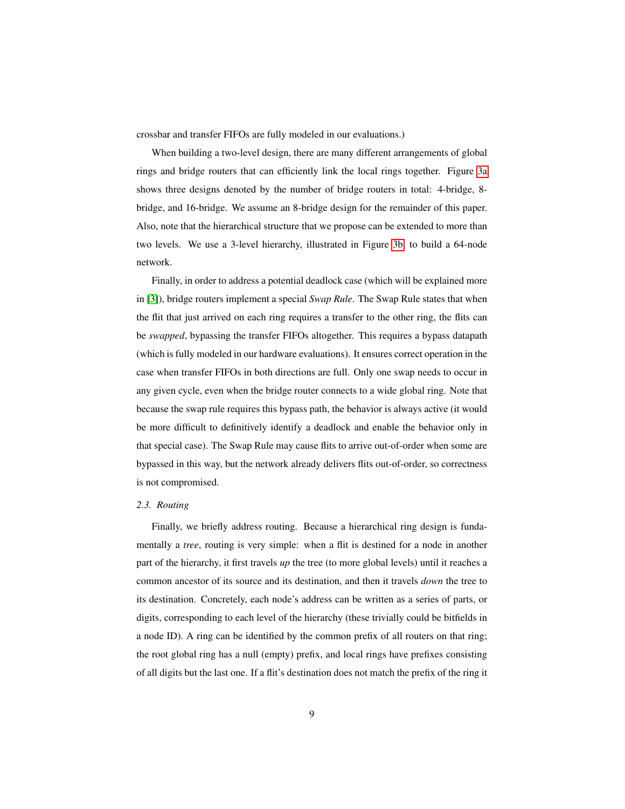crossbar and transfer FIFOs are fully modeled in our evaluations.)

When building a two-level design, there are many different arrangements of global rings and bridge routers that can efficiently link the local rings together. Figure [3a](#page-6-0) shows three designs denoted by the number of bridge routers in total: 4-bridge, 8 bridge, and 16-bridge. We assume an 8-bridge design for the remainder of this paper. Also, note that the hierarchical structure that we propose can be extended to more than two levels. We use a 3-level hierarchy, illustrated in Figure [3b,](#page-6-1) to build a 64-node network.

Finally, in order to address a potential deadlock case (which will be explained more in [\[3\]](#page-29-9)), bridge routers implement a special *Swap Rule*. The Swap Rule states that when the flit that just arrived on each ring requires a transfer to the other ring, the flits can be *swapped*, bypassing the transfer FIFOs altogether. This requires a bypass datapath (which is fully modeled in our hardware evaluations). It ensures correct operation in the case when transfer FIFOs in both directions are full. Only one swap needs to occur in any given cycle, even when the bridge router connects to a wide global ring. Note that because the swap rule requires this bypass path, the behavior is always active (it would be more difficult to definitively identify a deadlock and enable the behavior only in that special case). The Swap Rule may cause flits to arrive out-of-order when some are bypassed in this way, but the network already delivers flits out-of-order, so correctness is not compromised.

# <span id="page-8-0"></span>*2.3. Routing*

Finally, we briefly address routing. Because a hierarchical ring design is fundamentally a *tree*, routing is very simple: when a flit is destined for a node in another part of the hierarchy, it first travels *up* the tree (to more global levels) until it reaches a common ancestor of its source and its destination, and then it travels *down* the tree to its destination. Concretely, each node's address can be written as a series of parts, or digits, corresponding to each level of the hierarchy (these trivially could be bitfields in a node ID). A ring can be identified by the common prefix of all routers on that ring; the root global ring has a null (empty) prefix, and local rings have prefixes consisting of all digits but the last one. If a flit's destination does not match the prefix of the ring it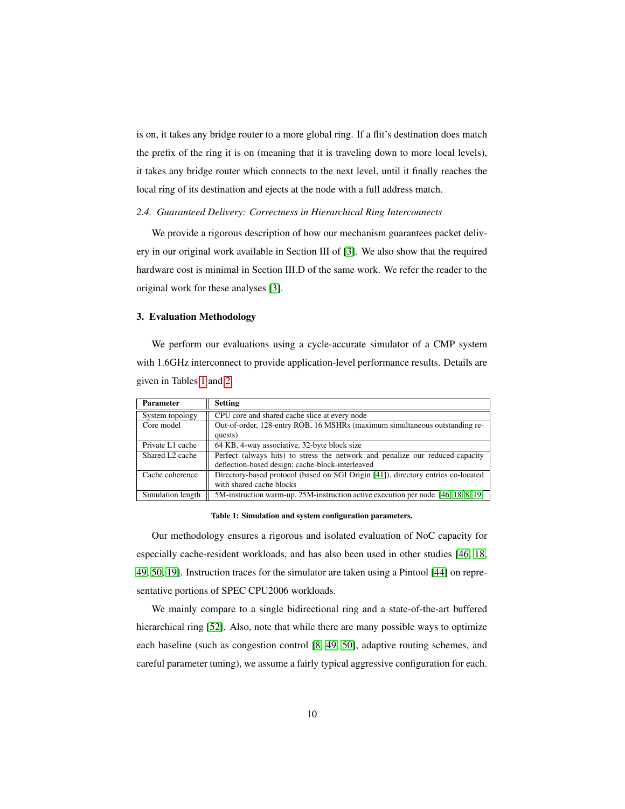is on, it takes any bridge router to a more global ring. If a flit's destination does match the prefix of the ring it is on (meaning that it is traveling down to more local levels), it takes any bridge router which connects to the next level, until it finally reaches the local ring of its destination and ejects at the node with a full address match.

# *2.4. Guaranteed Delivery: Correctness in Hierarchical Ring Interconnects*

We provide a rigorous description of how our mechanism guarantees packet delivery in our original work available in Section III of [\[3\]](#page-29-9). We also show that the required hardware cost is minimal in Section III.D of the same work. We refer the reader to the original work for these analyses [\[3\]](#page-29-9).

## <span id="page-9-1"></span>3. Evaluation Methodology

We perform our evaluations using a cycle-accurate simulator of a CMP system with 1.6GHz interconnect to provide application-level performance results. Details are given in Tables [1](#page-9-0) and [2.](#page-10-0)

<span id="page-9-0"></span>

| <b>Parameter</b>            | <b>Setting</b>                                                                    |
|-----------------------------|-----------------------------------------------------------------------------------|
| System topology             | CPU core and shared cache slice at every node                                     |
| Core model                  | Out-of-order, 128-entry ROB, 16 MSHRs (maximum simultaneous outstanding re-       |
|                             | quests)                                                                           |
| Private L1 cache            | 64 KB, 4-way associative, 32-byte block size                                      |
| Shared L <sub>2</sub> cache | Perfect (always hits) to stress the network and penalize our reduced-capacity     |
|                             | deflection-based design; cache-block-interleaved                                  |
| Cache coherence             | Directory-based protocol (based on SGI Origin [41]), directory entries co-located |
|                             | with shared cache blocks                                                          |
| Simulation length           | 5M-instruction warm-up, 25M-instruction active execution per node [46, 18, 8, 19] |

Table 1: Simulation and system configuration parameters.

Our methodology ensures a rigorous and isolated evaluation of NoC capacity for especially cache-resident workloads, and has also been used in other studies [\[46,](#page-30-6) [18,](#page-29-10) [49,](#page-30-7) [50,](#page-30-8) [19\]](#page-29-11). Instruction traces for the simulator are taken using a Pintool [\[44\]](#page-30-13) on representative portions of SPEC CPU2006 workloads.

We mainly compare to a single bidirectional ring and a state-of-the-art buffered hierarchical ring [\[52\]](#page-30-2). Also, note that while there are many possible ways to optimize each baseline (such as congestion control [\[8,](#page-29-14) [49,](#page-30-7) [50\]](#page-30-8), adaptive routing schemes, and careful parameter tuning), we assume a fairly typical aggressive configuration for each.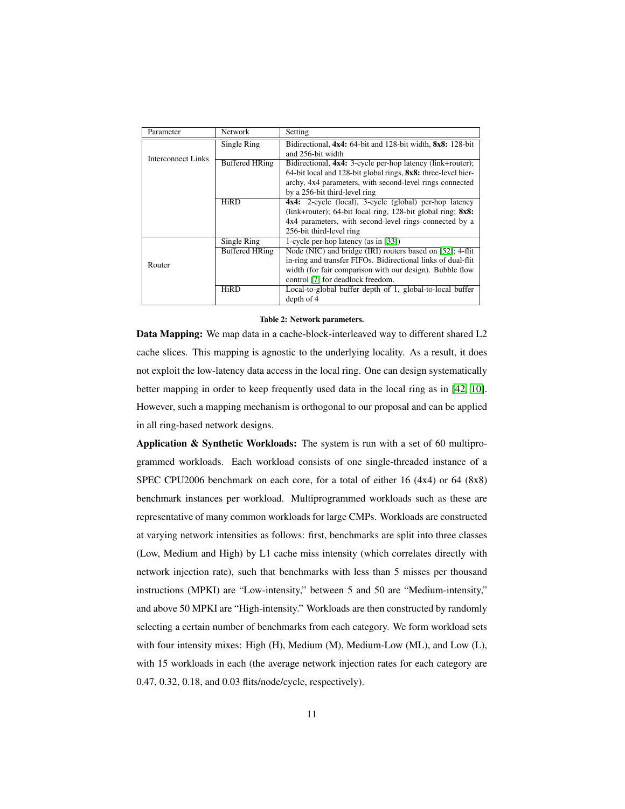<span id="page-10-0"></span>

| Parameter          | <b>Network</b>        | Setting                                                       |  |  |
|--------------------|-----------------------|---------------------------------------------------------------|--|--|
|                    | Single Ring           | Bidirectional, 4x4: 64-bit and 128-bit width, 8x8: 128-bit    |  |  |
| Interconnect Links |                       | and 256-bit width                                             |  |  |
|                    | <b>Buffered HRing</b> | Bidirectional, 4x4: 3-cycle per-hop latency (link+router);    |  |  |
|                    |                       | 64-bit local and 128-bit global rings, 8x8: three-level hier- |  |  |
|                    |                       | archy, 4x4 parameters, with second-level rings connected      |  |  |
|                    |                       | by a 256-bit third-level ring                                 |  |  |
|                    | HiRD                  | <b>4x4:</b> 2-cycle (local), 3-cycle (global) per-hop latency |  |  |
|                    |                       | (link+router); 64-bit local ring, 128-bit global ring; 8x8:   |  |  |
|                    |                       | 4x4 parameters, with second-level rings connected by a        |  |  |
|                    |                       | 256-bit third-level ring                                      |  |  |
|                    | Single Ring           | 1-cycle per-hop latency (as in [33])                          |  |  |
|                    | <b>Buffered HRing</b> | Node (NIC) and bridge (IRI) routers based on [52]; 4-flit     |  |  |
| Router             |                       | in-ring and transfer FIFOs. Bidirectional links of dual-flit  |  |  |
|                    |                       | width (for fair comparison with our design). Bubble flow      |  |  |
|                    |                       | control [7] for deadlock freedom.                             |  |  |
|                    | HiRD                  | Local-to-global buffer depth of 1, global-to-local buffer     |  |  |
|                    |                       | depth of 4                                                    |  |  |

#### Table 2: Network parameters.

Data Mapping: We map data in a cache-block-interleaved way to different shared L2 cache slices. This mapping is agnostic to the underlying locality. As a result, it does not exploit the low-latency data access in the local ring. One can design systematically better mapping in order to keep frequently used data in the local ring as in [\[42,](#page-30-15) [10\]](#page-29-16). However, such a mapping mechanism is orthogonal to our proposal and can be applied in all ring-based network designs.

Application & Synthetic Workloads: The system is run with a set of 60 multiprogrammed workloads. Each workload consists of one single-threaded instance of a SPEC CPU2006 benchmark on each core, for a total of either 16 (4x4) or 64 (8x8) benchmark instances per workload. Multiprogrammed workloads such as these are representative of many common workloads for large CMPs. Workloads are constructed at varying network intensities as follows: first, benchmarks are split into three classes (Low, Medium and High) by L1 cache miss intensity (which correlates directly with network injection rate), such that benchmarks with less than 5 misses per thousand instructions (MPKI) are "Low-intensity," between 5 and 50 are "Medium-intensity," and above 50 MPKI are "High-intensity." Workloads are then constructed by randomly selecting a certain number of benchmarks from each category. We form workload sets with four intensity mixes: High (H), Medium (M), Medium-Low (ML), and Low (L), with 15 workloads in each (the average network injection rates for each category are 0.47, 0.32, 0.18, and 0.03 flits/node/cycle, respectively).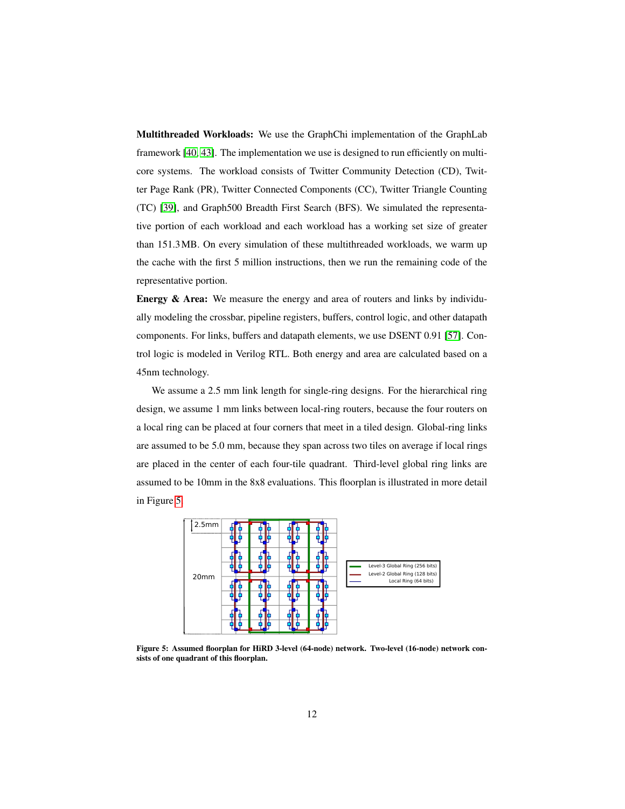Multithreaded Workloads: We use the GraphChi implementation of the GraphLab framework [\[40,](#page-30-16) [43\]](#page-30-17). The implementation we use is designed to run efficiently on multicore systems. The workload consists of Twitter Community Detection (CD), Twitter Page Rank (PR), Twitter Connected Components (CC), Twitter Triangle Counting (TC) [\[39\]](#page-30-18), and Graph500 Breadth First Search (BFS). We simulated the representative portion of each workload and each workload has a working set size of greater than 151.3MB. On every simulation of these multithreaded workloads, we warm up the cache with the first 5 million instructions, then we run the remaining code of the representative portion.

Energy & Area: We measure the energy and area of routers and links by individually modeling the crossbar, pipeline registers, buffers, control logic, and other datapath components. For links, buffers and datapath elements, we use DSENT 0.91 [\[57\]](#page-30-19). Control logic is modeled in Verilog RTL. Both energy and area are calculated based on a 45nm technology.

We assume a 2.5 mm link length for single-ring designs. For the hierarchical ring design, we assume 1 mm links between local-ring routers, because the four routers on a local ring can be placed at four corners that meet in a tiled design. Global-ring links are assumed to be 5.0 mm, because they span across two tiles on average if local rings are placed in the center of each four-tile quadrant. Third-level global ring links are assumed to be 10mm in the 8x8 evaluations. This floorplan is illustrated in more detail in Figure [5.](#page-11-0)

<span id="page-11-0"></span>

Figure 5: Assumed floorplan for HiRD 3-level (64-node) network. Two-level (16-node) network consists of one quadrant of this floorplan.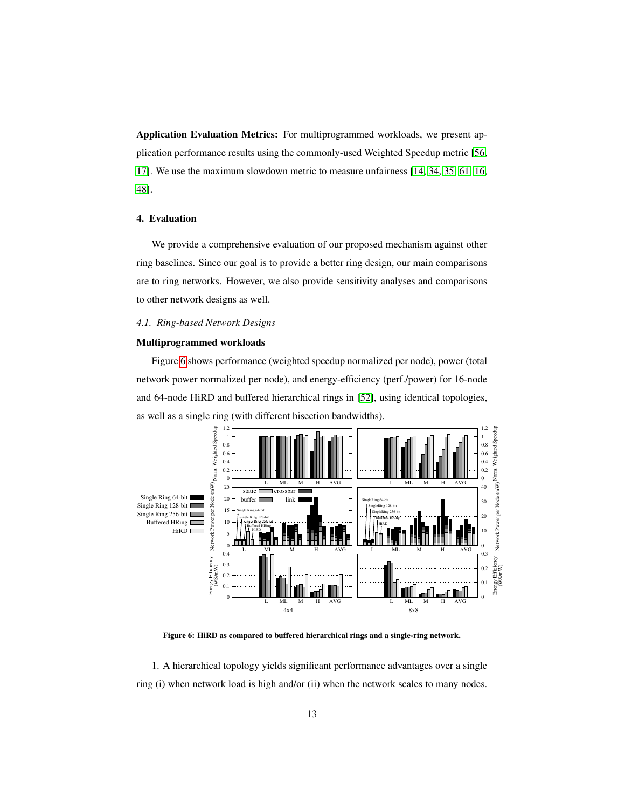Application Evaluation Metrics: For multiprogrammed workloads, we present application performance results using the commonly-used Weighted Speedup metric [\[56,](#page-30-20) [17\]](#page-29-17). We use the maximum slowdown metric to measure unfairness [\[14,](#page-29-18) [34,](#page-30-21) [35,](#page-30-22) [61,](#page-30-23) [16,](#page-29-19) [48\]](#page-30-24).

# 4. Evaluation

We provide a comprehensive evaluation of our proposed mechanism against other ring baselines. Since our goal is to provide a better ring design, our main comparisons are to ring networks. However, we also provide sensitivity analyses and comparisons to other network designs as well.

# *4.1. Ring-based Network Designs*

# Multiprogrammed workloads

Figure [6](#page-12-0) shows performance (weighted speedup normalized per node), power (total network power normalized per node), and energy-efficiency (perf./power) for 16-node and 64-node HiRD and buffered hierarchical rings in [\[52\]](#page-30-2), using identical topologies, as well as a single ring (with different bisection bandwidths).

<span id="page-12-0"></span>

Figure 6: HiRD as compared to buffered hierarchical rings and a single-ring network.

1. A hierarchical topology yields significant performance advantages over a single ring (i) when network load is high and/or (ii) when the network scales to many nodes.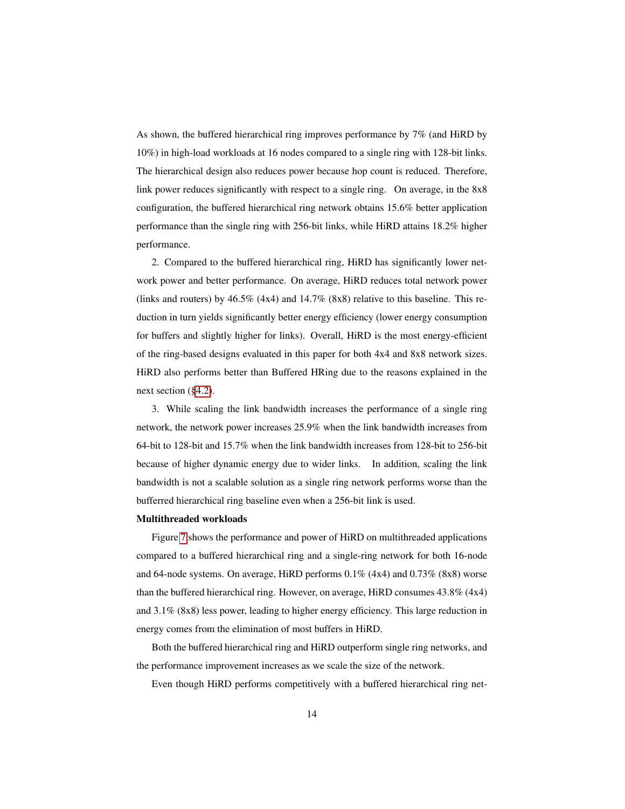As shown, the buffered hierarchical ring improves performance by 7% (and HiRD by 10%) in high-load workloads at 16 nodes compared to a single ring with 128-bit links. The hierarchical design also reduces power because hop count is reduced. Therefore, link power reduces significantly with respect to a single ring. On average, in the 8x8 configuration, the buffered hierarchical ring network obtains 15.6% better application performance than the single ring with 256-bit links, while HiRD attains 18.2% higher performance.

2. Compared to the buffered hierarchical ring, HiRD has significantly lower network power and better performance. On average, HiRD reduces total network power (links and routers) by  $46.5\%$  ( $4x4$ ) and  $14.7\%$  ( $8x8$ ) relative to this baseline. This reduction in turn yields significantly better energy efficiency (lower energy consumption for buffers and slightly higher for links). Overall, HiRD is the most energy-efficient of the ring-based designs evaluated in this paper for both 4x4 and 8x8 network sizes. HiRD also performs better than Buffered HRing due to the reasons explained in the next section ([§4.2\)](#page-14-0).

3. While scaling the link bandwidth increases the performance of a single ring network, the network power increases 25.9% when the link bandwidth increases from 64-bit to 128-bit and 15.7% when the link bandwidth increases from 128-bit to 256-bit because of higher dynamic energy due to wider links. In addition, scaling the link bandwidth is not a scalable solution as a single ring network performs worse than the bufferred hierarchical ring baseline even when a 256-bit link is used.

#### Multithreaded workloads

Figure [7](#page-14-1) shows the performance and power of HiRD on multithreaded applications compared to a buffered hierarchical ring and a single-ring network for both 16-node and 64-node systems. On average, HiRD performs 0.1% (4x4) and 0.73% (8x8) worse than the buffered hierarchical ring. However, on average, HiRD consumes 43.8% (4x4) and 3.1% (8x8) less power, leading to higher energy efficiency. This large reduction in energy comes from the elimination of most buffers in HiRD.

Both the buffered hierarchical ring and HiRD outperform single ring networks, and the performance improvement increases as we scale the size of the network.

Even though HiRD performs competitively with a buffered hierarchical ring net-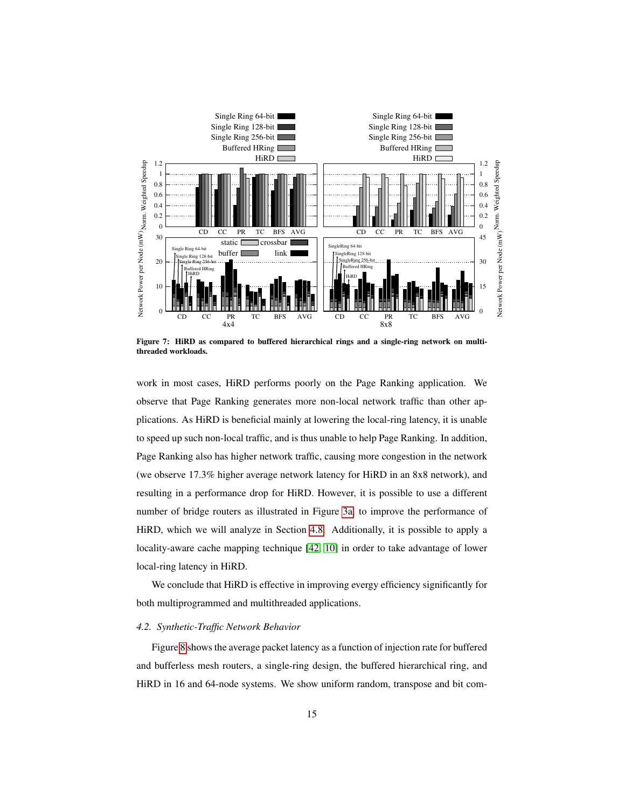<span id="page-14-1"></span>

Figure 7: HiRD as compared to buffered hierarchical rings and a single-ring network on multithreaded workloads.

work in most cases, HiRD performs poorly on the Page Ranking application. We observe that Page Ranking generates more non-local network traffic than other applications. As HiRD is beneficial mainly at lowering the local-ring latency, it is unable to speed up such non-local traffic, and is thus unable to help Page Ranking. In addition, Page Ranking also has higher network traffic, causing more congestion in the network (we observe 17.3% higher average network latency for HiRD in an 8x8 network), and resulting in a performance drop for HiRD. However, it is possible to use a different number of bridge routers as illustrated in Figure [3a,](#page-6-0) to improve the performance of HiRD, which we will analyze in Section [4.8.](#page-22-0) Additionally, it is possible to apply a locality-aware cache mapping technique [\[42,](#page-30-15) [10\]](#page-29-16) in order to take advantage of lower local-ring latency in HiRD.

We conclude that HiRD is effective in improving evergy efficiency significantly for both multiprogrammed and multithreaded applications.

## <span id="page-14-0"></span>*4.2. Synthetic-Traffic Network Behavior*

Figure [8](#page-15-0) shows the average packet latency as a function of injection rate for buffered and bufferless mesh routers, a single-ring design, the buffered hierarchical ring, and HiRD in 16 and 64-node systems. We show uniform random, transpose and bit com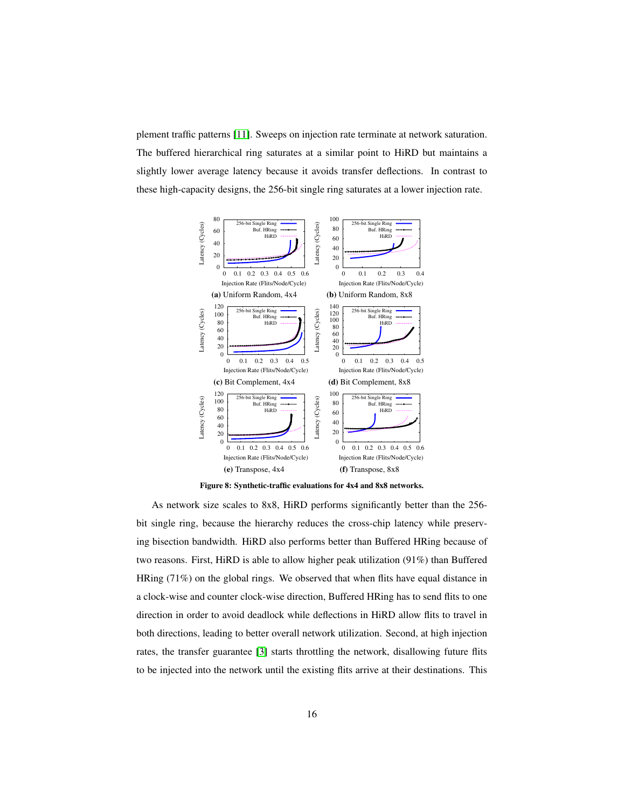plement traffic patterns [\[11\]](#page-29-1). Sweeps on injection rate terminate at network saturation. The buffered hierarchical ring saturates at a similar point to HiRD but maintains a slightly lower average latency because it avoids transfer deflections. In contrast to these high-capacity designs, the 256-bit single ring saturates at a lower injection rate.

<span id="page-15-0"></span>

Figure 8: Synthetic-traffic evaluations for 4x4 and 8x8 networks.

As network size scales to 8x8, HiRD performs significantly better than the 256 bit single ring, because the hierarchy reduces the cross-chip latency while preserving bisection bandwidth. HiRD also performs better than Buffered HRing because of two reasons. First, HiRD is able to allow higher peak utilization (91%) than Buffered HRing (71%) on the global rings. We observed that when flits have equal distance in a clock-wise and counter clock-wise direction, Buffered HRing has to send flits to one direction in order to avoid deadlock while deflections in HiRD allow flits to travel in both directions, leading to better overall network utilization. Second, at high injection rates, the transfer guarantee [\[3\]](#page-29-9) starts throttling the network, disallowing future flits to be injected into the network until the existing flits arrive at their destinations. This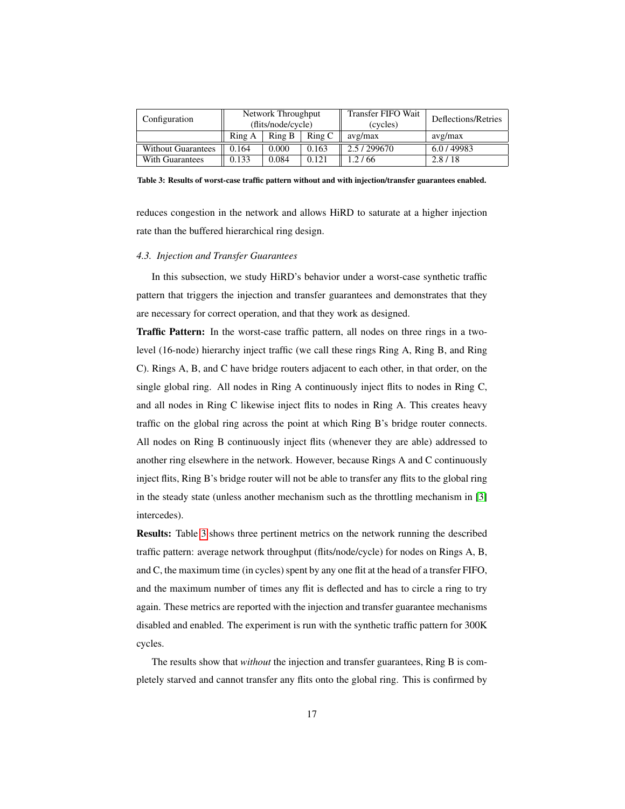<span id="page-16-1"></span>

| Configuration             | Network Throughput<br>(flits/node/cycle) |        |        | Transfer FIFO Wait<br>(cycles) | Deflections/Retries |
|---------------------------|------------------------------------------|--------|--------|--------------------------------|---------------------|
|                           | Ring A                                   | Ring B | Ring C | avg/max                        | avg/max             |
| <b>Without Guarantees</b> | 0.164                                    | 0.000  | 0.163  | 2.5/299670                     | 6.0/49983           |
| With Guarantees           | 0.133                                    | 0.084  | 0.121  | 1.2766                         | 2.8/18              |

Table 3: Results of worst-case traffic pattern without and with injection/transfer guarantees enabled.

reduces congestion in the network and allows HiRD to saturate at a higher injection rate than the buffered hierarchical ring design.

#### <span id="page-16-0"></span>*4.3. Injection and Transfer Guarantees*

In this subsection, we study HiRD's behavior under a worst-case synthetic traffic pattern that triggers the injection and transfer guarantees and demonstrates that they are necessary for correct operation, and that they work as designed.

Traffic Pattern: In the worst-case traffic pattern, all nodes on three rings in a twolevel (16-node) hierarchy inject traffic (we call these rings Ring A, Ring B, and Ring C). Rings A, B, and C have bridge routers adjacent to each other, in that order, on the single global ring. All nodes in Ring A continuously inject flits to nodes in Ring C, and all nodes in Ring C likewise inject flits to nodes in Ring A. This creates heavy traffic on the global ring across the point at which Ring B's bridge router connects. All nodes on Ring B continuously inject flits (whenever they are able) addressed to another ring elsewhere in the network. However, because Rings A and C continuously inject flits, Ring B's bridge router will not be able to transfer any flits to the global ring in the steady state (unless another mechanism such as the throttling mechanism in [\[3\]](#page-29-9) intercedes).

Results: Table [3](#page-16-1) shows three pertinent metrics on the network running the described traffic pattern: average network throughput (flits/node/cycle) for nodes on Rings A, B, and C, the maximum time (in cycles) spent by any one flit at the head of a transfer FIFO, and the maximum number of times any flit is deflected and has to circle a ring to try again. These metrics are reported with the injection and transfer guarantee mechanisms disabled and enabled. The experiment is run with the synthetic traffic pattern for 300K cycles.

The results show that *without* the injection and transfer guarantees, Ring B is completely starved and cannot transfer any flits onto the global ring. This is confirmed by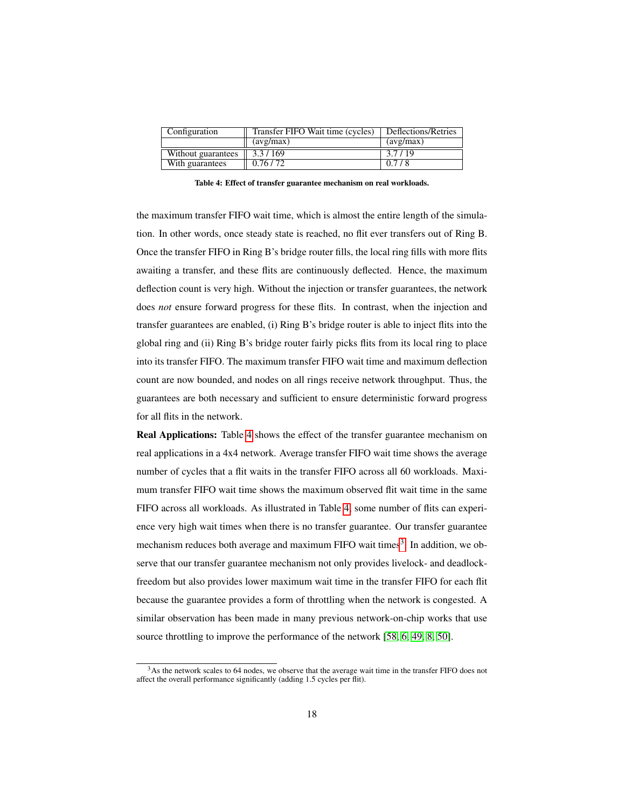<span id="page-17-0"></span>

| Configuration      | Transfer FIFO Wait time (cycles) | Deflections/Retries |  |
|--------------------|----------------------------------|---------------------|--|
|                    | (avg/max)                        | (avg/max)           |  |
| Without guarantees | $\parallel$ 3.3/169              | 3.7/19              |  |
| With guarantees    | 0.76/72                          | 0.7/8               |  |

Table 4: Effect of transfer guarantee mechanism on real workloads.

the maximum transfer FIFO wait time, which is almost the entire length of the simulation. In other words, once steady state is reached, no flit ever transfers out of Ring B. Once the transfer FIFO in Ring B's bridge router fills, the local ring fills with more flits awaiting a transfer, and these flits are continuously deflected. Hence, the maximum deflection count is very high. Without the injection or transfer guarantees, the network does *not* ensure forward progress for these flits. In contrast, when the injection and transfer guarantees are enabled, (i) Ring B's bridge router is able to inject flits into the global ring and (ii) Ring B's bridge router fairly picks flits from its local ring to place into its transfer FIFO. The maximum transfer FIFO wait time and maximum deflection count are now bounded, and nodes on all rings receive network throughput. Thus, the guarantees are both necessary and sufficient to ensure deterministic forward progress for all flits in the network.

Real Applications: Table [4](#page-17-0) shows the effect of the transfer guarantee mechanism on real applications in a 4x4 network. Average transfer FIFO wait time shows the average number of cycles that a flit waits in the transfer FIFO across all 60 workloads. Maximum transfer FIFO wait time shows the maximum observed flit wait time in the same FIFO across all workloads. As illustrated in Table [4,](#page-17-0) some number of flits can experience very high wait times when there is no transfer guarantee. Our transfer guarantee mechanism reduces both average and maximum FIFO wait times<sup>[3](#page-17-1)</sup>. In addition, we observe that our transfer guarantee mechanism not only provides livelock- and deadlockfreedom but also provides lower maximum wait time in the transfer FIFO for each flit because the guarantee provides a form of throttling when the network is congested. A similar observation has been made in many previous network-on-chip works that use source throttling to improve the performance of the network [\[58,](#page-30-25) [6,](#page-29-20) [49,](#page-30-7) [8,](#page-29-14) [50\]](#page-30-8).

<span id="page-17-1"></span><sup>&</sup>lt;sup>3</sup>As the network scales to 64 nodes, we observe that the average wait time in the transfer FIFO does not affect the overall performance significantly (adding 1.5 cycles per flit).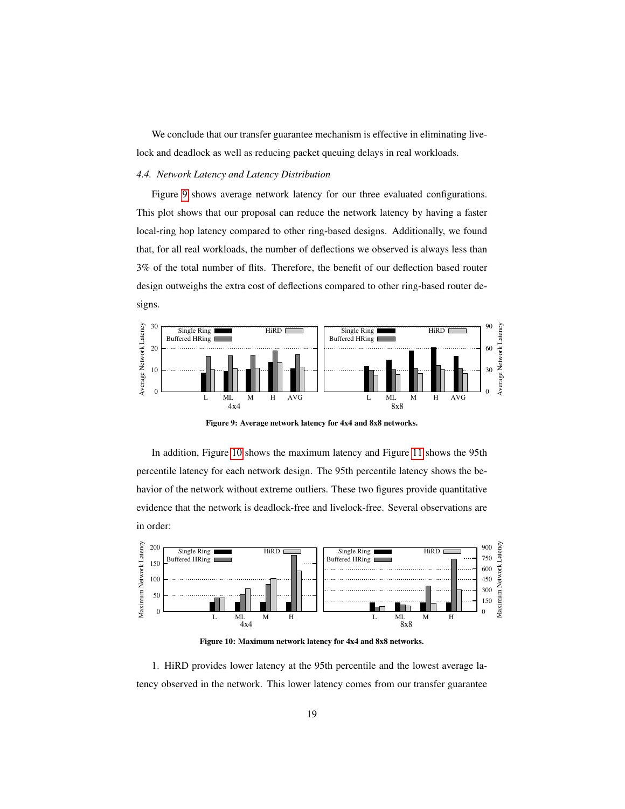We conclude that our transfer guarantee mechanism is effective in eliminating livelock and deadlock as well as reducing packet queuing delays in real workloads.

# *4.4. Network Latency and Latency Distribution*

Figure [9](#page-18-0) shows average network latency for our three evaluated configurations. This plot shows that our proposal can reduce the network latency by having a faster local-ring hop latency compared to other ring-based designs. Additionally, we found that, for all real workloads, the number of deflections we observed is always less than 3% of the total number of flits. Therefore, the benefit of our deflection based router design outweighs the extra cost of deflections compared to other ring-based router designs.

<span id="page-18-0"></span>

Figure 9: Average network latency for 4x4 and 8x8 networks.

In addition, Figure [10](#page-18-1) shows the maximum latency and Figure [11](#page-19-0) shows the 95th percentile latency for each network design. The 95th percentile latency shows the behavior of the network without extreme outliers. These two figures provide quantitative evidence that the network is deadlock-free and livelock-free. Several observations are in order:

<span id="page-18-1"></span>

Figure 10: Maximum network latency for 4x4 and 8x8 networks.

1. HiRD provides lower latency at the 95th percentile and the lowest average latency observed in the network. This lower latency comes from our transfer guarantee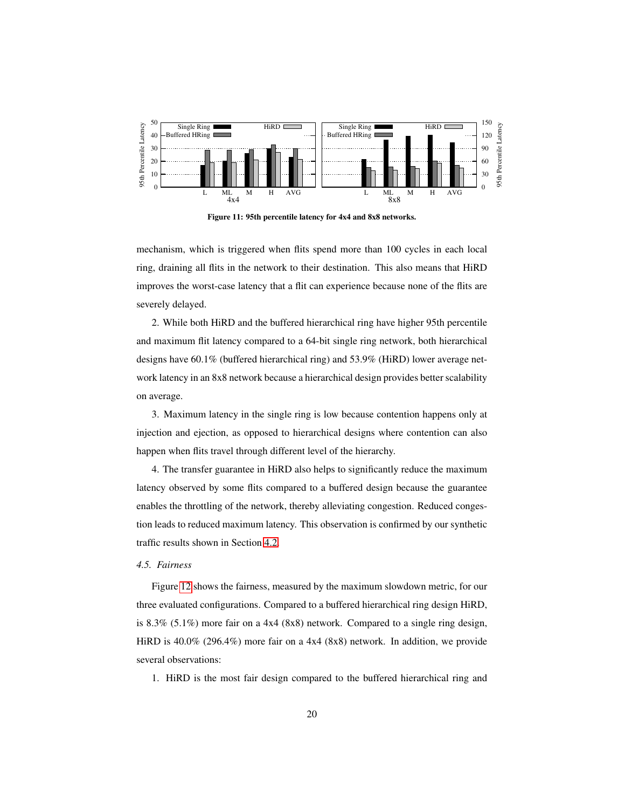<span id="page-19-0"></span>

Figure 11: 95th percentile latency for 4x4 and 8x8 networks.

mechanism, which is triggered when flits spend more than 100 cycles in each local ring, draining all flits in the network to their destination. This also means that HiRD improves the worst-case latency that a flit can experience because none of the flits are severely delayed.

2. While both HiRD and the buffered hierarchical ring have higher 95th percentile and maximum flit latency compared to a 64-bit single ring network, both hierarchical designs have 60.1% (buffered hierarchical ring) and 53.9% (HiRD) lower average network latency in an 8x8 network because a hierarchical design provides better scalability on average.

3. Maximum latency in the single ring is low because contention happens only at injection and ejection, as opposed to hierarchical designs where contention can also happen when flits travel through different level of the hierarchy.

4. The transfer guarantee in HiRD also helps to significantly reduce the maximum latency observed by some flits compared to a buffered design because the guarantee enables the throttling of the network, thereby alleviating congestion. Reduced congestion leads to reduced maximum latency. This observation is confirmed by our synthetic traffic results shown in Section [4.2.](#page-14-0)

# *4.5. Fairness*

Figure [12](#page-20-0) shows the fairness, measured by the maximum slowdown metric, for our three evaluated configurations. Compared to a buffered hierarchical ring design HiRD, is 8.3% (5.1%) more fair on a 4x4 (8x8) network. Compared to a single ring design, HiRD is 40.0% (296.4%) more fair on a 4x4 (8x8) network. In addition, we provide several observations:

1. HiRD is the most fair design compared to the buffered hierarchical ring and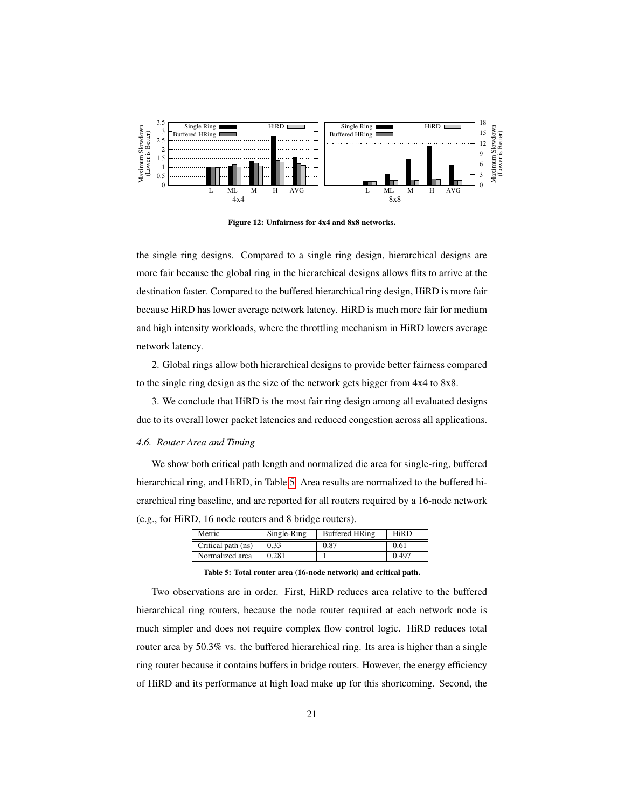<span id="page-20-0"></span>

Figure 12: Unfairness for 4x4 and 8x8 networks.

the single ring designs. Compared to a single ring design, hierarchical designs are more fair because the global ring in the hierarchical designs allows flits to arrive at the destination faster. Compared to the buffered hierarchical ring design, HiRD is more fair because HiRD has lower average network latency. HiRD is much more fair for medium and high intensity workloads, where the throttling mechanism in HiRD lowers average network latency.

2. Global rings allow both hierarchical designs to provide better fairness compared to the single ring design as the size of the network gets bigger from 4x4 to 8x8.

3. We conclude that HiRD is the most fair ring design among all evaluated designs due to its overall lower packet latencies and reduced congestion across all applications.

# *4.6. Router Area and Timing*

We show both critical path length and normalized die area for single-ring, buffered hierarchical ring, and HiRD, in Table [5.](#page-20-1) Area results are normalized to the buffered hierarchical ring baseline, and are reported for all routers required by a 16-node network (e.g., for HiRD, 16 node routers and 8 bridge routers).

<span id="page-20-1"></span>

| Metric             | Single-Ring | <b>Buffered HRing</b> | HiRD  |
|--------------------|-------------|-----------------------|-------|
| Critical path (ns) |             | 0.87                  | 0.61  |
| Normalized area    | 0.281       |                       | 0.497 |

Table 5: Total router area (16-node network) and critical path.

Two observations are in order. First, HiRD reduces area relative to the buffered hierarchical ring routers, because the node router required at each network node is much simpler and does not require complex flow control logic. HiRD reduces total router area by 50.3% vs. the buffered hierarchical ring. Its area is higher than a single ring router because it contains buffers in bridge routers. However, the energy efficiency of HiRD and its performance at high load make up for this shortcoming. Second, the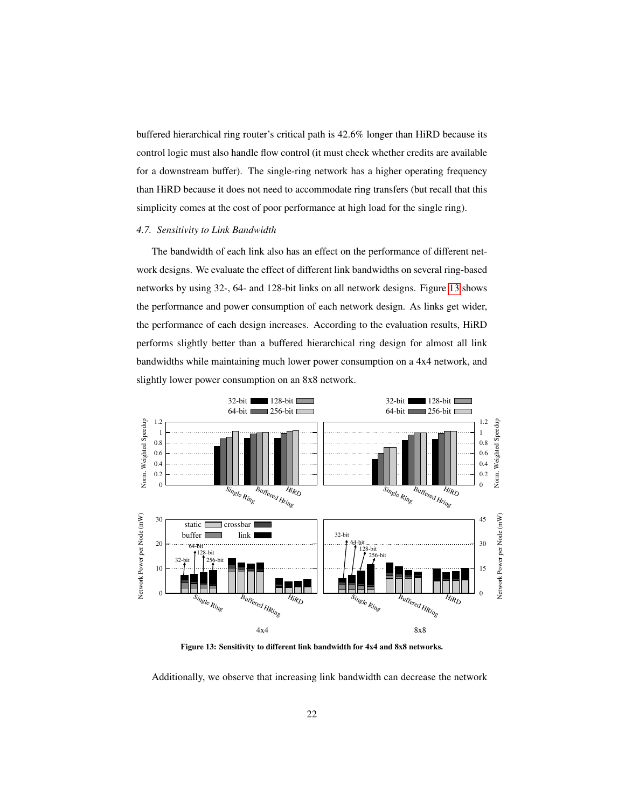buffered hierarchical ring router's critical path is 42.6% longer than HiRD because its control logic must also handle flow control (it must check whether credits are available for a downstream buffer). The single-ring network has a higher operating frequency than HiRD because it does not need to accommodate ring transfers (but recall that this simplicity comes at the cost of poor performance at high load for the single ring).

# *4.7. Sensitivity to Link Bandwidth*

The bandwidth of each link also has an effect on the performance of different network designs. We evaluate the effect of different link bandwidths on several ring-based networks by using 32-, 64- and 128-bit links on all network designs. Figure [13](#page-21-0) shows the performance and power consumption of each network design. As links get wider, the performance of each design increases. According to the evaluation results, HiRD performs slightly better than a buffered hierarchical ring design for almost all link bandwidths while maintaining much lower power consumption on a 4x4 network, and slightly lower power consumption on an 8x8 network.

<span id="page-21-0"></span>

Figure 13: Sensitivity to different link bandwidth for 4x4 and 8x8 networks.

Additionally, we observe that increasing link bandwidth can decrease the network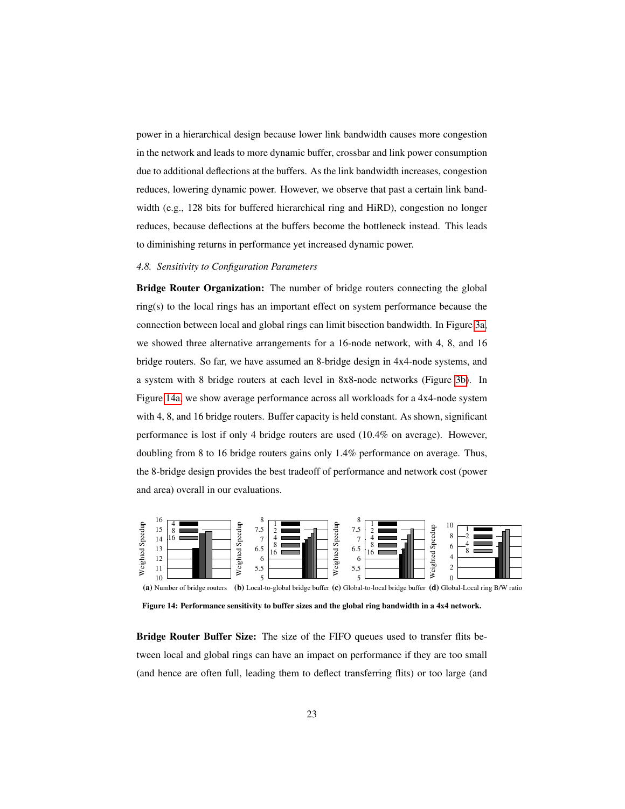power in a hierarchical design because lower link bandwidth causes more congestion in the network and leads to more dynamic buffer, crossbar and link power consumption due to additional deflections at the buffers. As the link bandwidth increases, congestion reduces, lowering dynamic power. However, we observe that past a certain link bandwidth (e.g., 128 bits for buffered hierarchical ring and HiRD), congestion no longer reduces, because deflections at the buffers become the bottleneck instead. This leads to diminishing returns in performance yet increased dynamic power.

# <span id="page-22-0"></span>*4.8. Sensitivity to Configuration Parameters*

Bridge Router Organization: The number of bridge routers connecting the global ring(s) to the local rings has an important effect on system performance because the connection between local and global rings can limit bisection bandwidth. In Figure [3a,](#page-6-0) we showed three alternative arrangements for a 16-node network, with 4, 8, and 16 bridge routers. So far, we have assumed an 8-bridge design in 4x4-node systems, and a system with 8 bridge routers at each level in 8x8-node networks (Figure [3b\)](#page-6-1). In Figure [14a,](#page-22-1) we show average performance across all workloads for a 4x4-node system with 4, 8, and 16 bridge routers. Buffer capacity is held constant. As shown, significant performance is lost if only 4 bridge routers are used (10.4% on average). However, doubling from 8 to 16 bridge routers gains only 1.4% performance on average. Thus, the 8-bridge design provides the best tradeoff of performance and network cost (power and area) overall in our evaluations.

<span id="page-22-1"></span>

<span id="page-22-4"></span><span id="page-22-3"></span><span id="page-22-2"></span>(a) Number of bridge routers (b) Local-to-global bridge buffer (c) Global-to-local bridge buffer (d) Global-Local ring B/W ratio

Figure 14: Performance sensitivity to buffer sizes and the global ring bandwidth in a 4x4 network.

Bridge Router Buffer Size: The size of the FIFO queues used to transfer flits between local and global rings can have an impact on performance if they are too small (and hence are often full, leading them to deflect transferring flits) or too large (and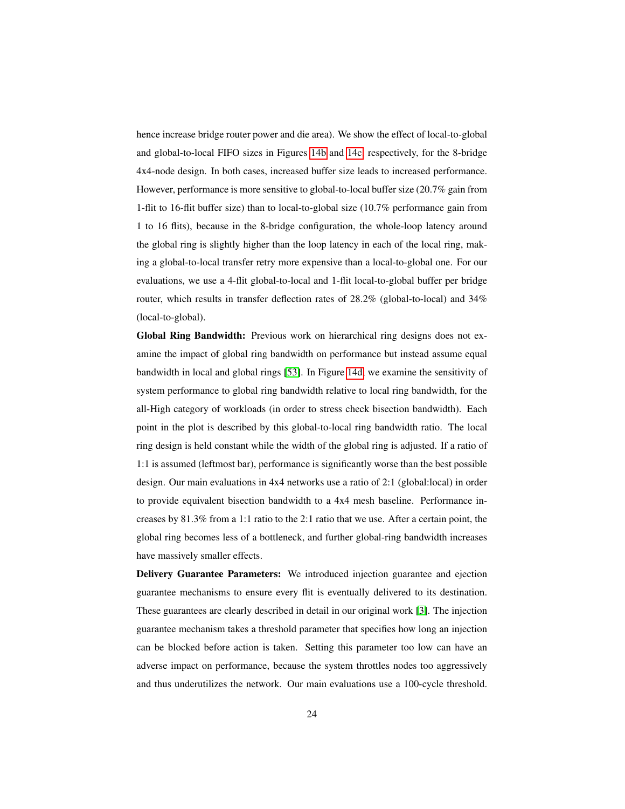hence increase bridge router power and die area). We show the effect of local-to-global and global-to-local FIFO sizes in Figures [14b](#page-22-2) and [14c,](#page-22-3) respectively, for the 8-bridge 4x4-node design. In both cases, increased buffer size leads to increased performance. However, performance is more sensitive to global-to-local buffer size (20.7% gain from 1-flit to 16-flit buffer size) than to local-to-global size (10.7% performance gain from 1 to 16 flits), because in the 8-bridge configuration, the whole-loop latency around the global ring is slightly higher than the loop latency in each of the local ring, making a global-to-local transfer retry more expensive than a local-to-global one. For our evaluations, we use a 4-flit global-to-local and 1-flit local-to-global buffer per bridge router, which results in transfer deflection rates of 28.2% (global-to-local) and 34% (local-to-global).

Global Ring Bandwidth: Previous work on hierarchical ring designs does not examine the impact of global ring bandwidth on performance but instead assume equal bandwidth in local and global rings [\[53\]](#page-30-4). In Figure [14d,](#page-22-4) we examine the sensitivity of system performance to global ring bandwidth relative to local ring bandwidth, for the all-High category of workloads (in order to stress check bisection bandwidth). Each point in the plot is described by this global-to-local ring bandwidth ratio. The local ring design is held constant while the width of the global ring is adjusted. If a ratio of 1:1 is assumed (leftmost bar), performance is significantly worse than the best possible design. Our main evaluations in 4x4 networks use a ratio of 2:1 (global:local) in order to provide equivalent bisection bandwidth to a 4x4 mesh baseline. Performance increases by 81.3% from a 1:1 ratio to the 2:1 ratio that we use. After a certain point, the global ring becomes less of a bottleneck, and further global-ring bandwidth increases have massively smaller effects.

Delivery Guarantee Parameters: We introduced injection guarantee and ejection guarantee mechanisms to ensure every flit is eventually delivered to its destination. These guarantees are clearly described in detail in our original work [\[3\]](#page-29-9). The injection guarantee mechanism takes a threshold parameter that specifies how long an injection can be blocked before action is taken. Setting this parameter too low can have an adverse impact on performance, because the system throttles nodes too aggressively and thus underutilizes the network. Our main evaluations use a 100-cycle threshold.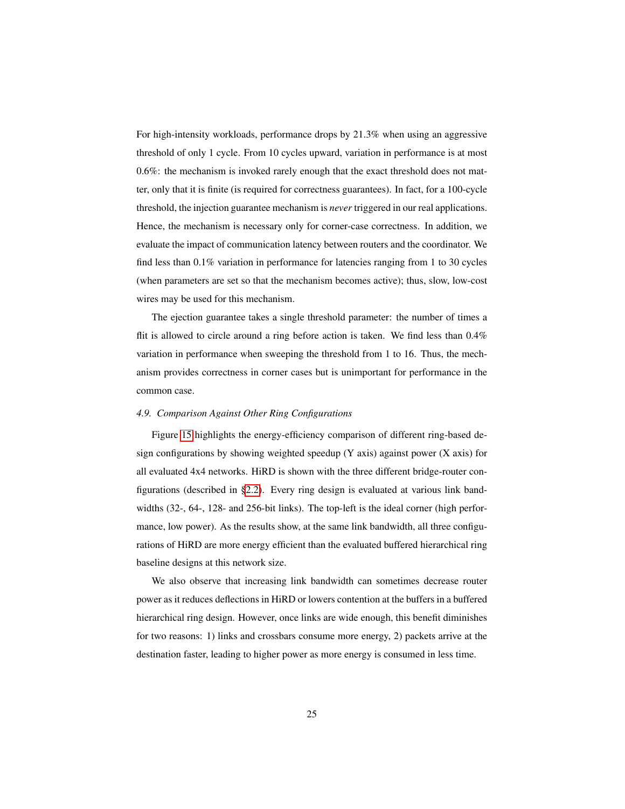For high-intensity workloads, performance drops by 21.3% when using an aggressive threshold of only 1 cycle. From 10 cycles upward, variation in performance is at most 0.6%: the mechanism is invoked rarely enough that the exact threshold does not matter, only that it is finite (is required for correctness guarantees). In fact, for a 100-cycle threshold, the injection guarantee mechanism is *never* triggered in our real applications. Hence, the mechanism is necessary only for corner-case correctness. In addition, we evaluate the impact of communication latency between routers and the coordinator. We find less than 0.1% variation in performance for latencies ranging from 1 to 30 cycles (when parameters are set so that the mechanism becomes active); thus, slow, low-cost wires may be used for this mechanism.

The ejection guarantee takes a single threshold parameter: the number of times a flit is allowed to circle around a ring before action is taken. We find less than 0.4% variation in performance when sweeping the threshold from 1 to 16. Thus, the mechanism provides correctness in corner cases but is unimportant for performance in the common case.

#### *4.9. Comparison Against Other Ring Configurations*

Figure [15](#page-25-0) highlights the energy-efficiency comparison of different ring-based design configurations by showing weighted speedup (Y axis) against power (X axis) for all evaluated 4x4 networks. HiRD is shown with the three different bridge-router configurations (described in [§2.2\)](#page-6-2). Every ring design is evaluated at various link bandwidths (32-, 64-, 128- and 256-bit links). The top-left is the ideal corner (high performance, low power). As the results show, at the same link bandwidth, all three configurations of HiRD are more energy efficient than the evaluated buffered hierarchical ring baseline designs at this network size.

We also observe that increasing link bandwidth can sometimes decrease router power as it reduces deflections in HiRD or lowers contention at the buffers in a buffered hierarchical ring design. However, once links are wide enough, this benefit diminishes for two reasons: 1) links and crossbars consume more energy, 2) packets arrive at the destination faster, leading to higher power as more energy is consumed in less time.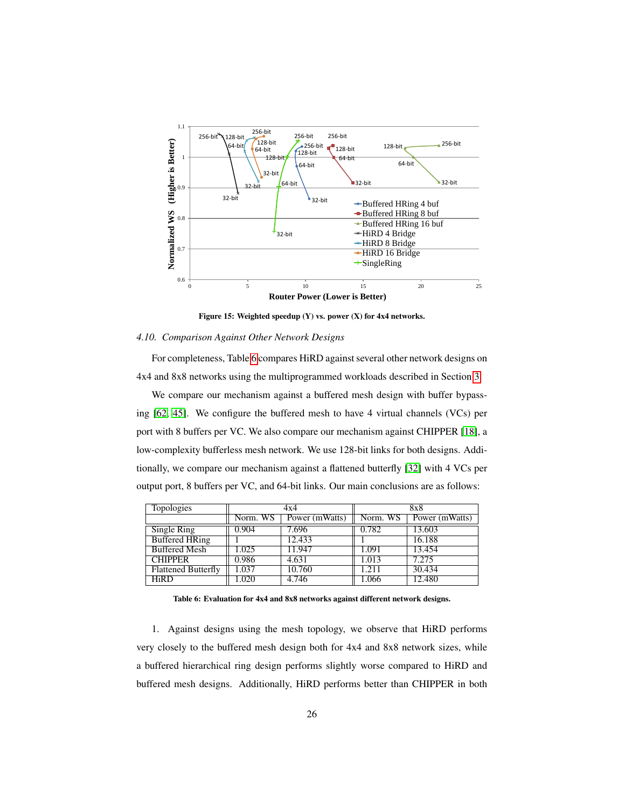<span id="page-25-0"></span>

Figure 15: Weighted speedup  $(Y)$  vs. power  $(X)$  for 4x4 networks.

## *4.10. Comparison Against Other Network Designs*

For completeness, Table [6](#page-25-1) compares HiRD against several other network designs on 4x4 and 8x8 networks using the multiprogrammed workloads described in Section [3.](#page-9-1)

We compare our mechanism against a buffered mesh design with buffer bypassing [\[62,](#page-30-26) [45\]](#page-30-9). We configure the buffered mesh to have 4 virtual channels (VCs) per port with 8 buffers per VC. We also compare our mechanism against CHIPPER [\[18\]](#page-29-10), a low-complexity bufferless mesh network. We use 128-bit links for both designs. Additionally, we compare our mechanism against a flattened butterfly [\[32\]](#page-29-21) with 4 VCs per output port, 8 buffers per VC, and 64-bit links. Our main conclusions are as follows:

<span id="page-25-1"></span>

| <b>Topologies</b>          | 4x4      |                  | 8x8      |                |
|----------------------------|----------|------------------|----------|----------------|
|                            | Norm. WS | Power $(mWatts)$ | Norm. WS | Power (mWatts) |
| Single Ring                | 0.904    | 7.696            | 0.782    | 13.603         |
| <b>Buffered HRing</b>      |          | 12.433           |          | 16.188         |
| <b>Buffered Mesh</b>       | 1.025    | 11.947           | 1.091    | 13.454         |
| <b>CHIPPER</b>             | 0.986    | 4.631            | 1.013    | 7.275          |
| <b>Flattened Butterfly</b> | 1.037    | 10.760           | 1.211    | 30.434         |
| <b>HiRD</b>                | 1.020    | 4.746            | 1.066    | 12.480         |

Table 6: Evaluation for 4x4 and 8x8 networks against different network designs.

1. Against designs using the mesh topology, we observe that HiRD performs very closely to the buffered mesh design both for 4x4 and 8x8 network sizes, while a buffered hierarchical ring design performs slightly worse compared to HiRD and buffered mesh designs. Additionally, HiRD performs better than CHIPPER in both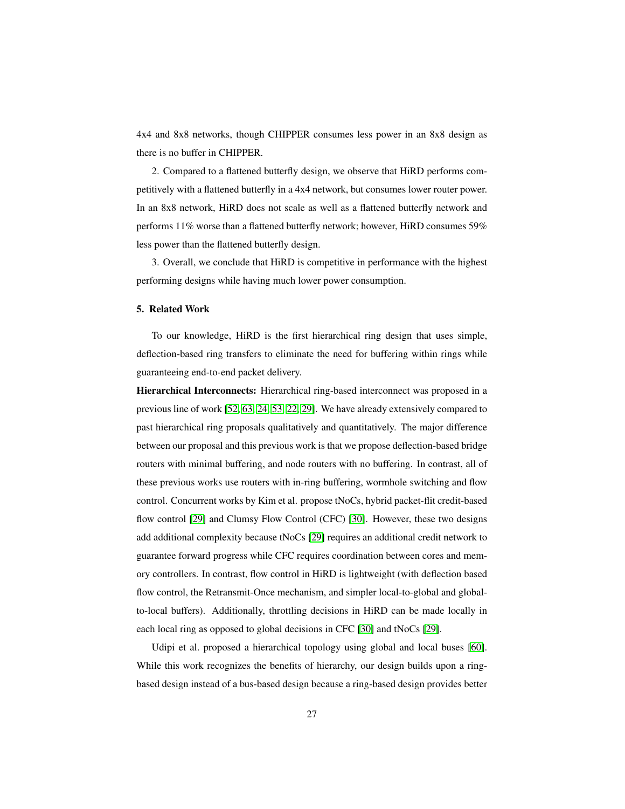4x4 and 8x8 networks, though CHIPPER consumes less power in an 8x8 design as there is no buffer in CHIPPER.

2. Compared to a flattened butterfly design, we observe that HiRD performs competitively with a flattened butterfly in a 4x4 network, but consumes lower router power. In an 8x8 network, HiRD does not scale as well as a flattened butterfly network and performs 11% worse than a flattened butterfly network; however, HiRD consumes 59% less power than the flattened butterfly design.

3. Overall, we conclude that HiRD is competitive in performance with the highest performing designs while having much lower power consumption.

## 5. Related Work

To our knowledge, HiRD is the first hierarchical ring design that uses simple, deflection-based ring transfers to eliminate the need for buffering within rings while guaranteeing end-to-end packet delivery.

Hierarchical Interconnects: Hierarchical ring-based interconnect was proposed in a previous line of work [\[52,](#page-30-2) [63,](#page-30-3) [24,](#page-29-3) [53,](#page-30-4) [22,](#page-29-4) [29\]](#page-29-22). We have already extensively compared to past hierarchical ring proposals qualitatively and quantitatively. The major difference between our proposal and this previous work is that we propose deflection-based bridge routers with minimal buffering, and node routers with no buffering. In contrast, all of these previous works use routers with in-ring buffering, wormhole switching and flow control. Concurrent works by Kim et al. propose tNoCs, hybrid packet-flit credit-based flow control [\[29\]](#page-29-22) and Clumsy Flow Control (CFC) [\[30\]](#page-29-23). However, these two designs add additional complexity because tNoCs [\[29\]](#page-29-22) requires an additional credit network to guarantee forward progress while CFC requires coordination between cores and memory controllers. In contrast, flow control in HiRD is lightweight (with deflection based flow control, the Retransmit-Once mechanism, and simpler local-to-global and globalto-local buffers). Additionally, throttling decisions in HiRD can be made locally in each local ring as opposed to global decisions in CFC [\[30\]](#page-29-23) and tNoCs [\[29\]](#page-29-22).

Udipi et al. proposed a hierarchical topology using global and local buses [\[60\]](#page-30-27). While this work recognizes the benefits of hierarchy, our design builds upon a ringbased design instead of a bus-based design because a ring-based design provides better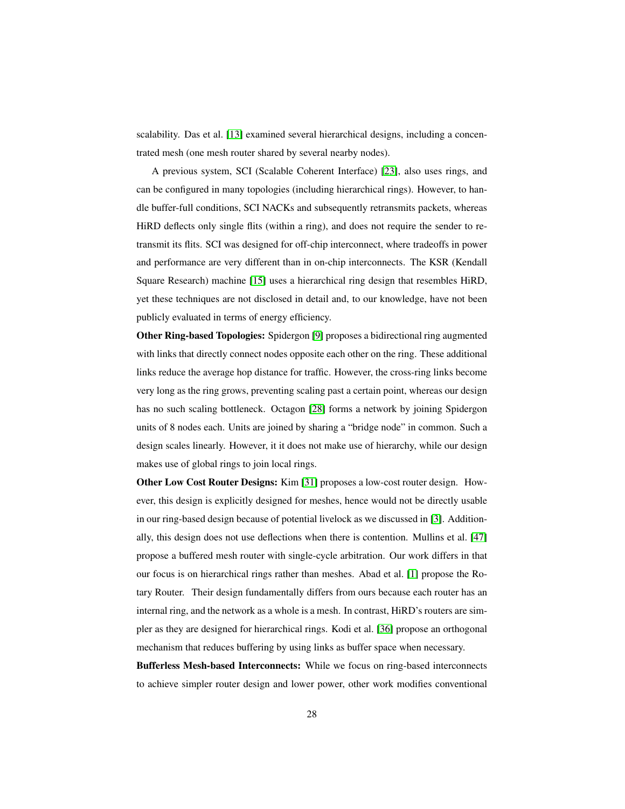scalability. Das et al. [\[13\]](#page-29-24) examined several hierarchical designs, including a concentrated mesh (one mesh router shared by several nearby nodes).

A previous system, SCI (Scalable Coherent Interface) [\[23\]](#page-29-25), also uses rings, and can be configured in many topologies (including hierarchical rings). However, to handle buffer-full conditions, SCI NACKs and subsequently retransmits packets, whereas HiRD deflects only single flits (within a ring), and does not require the sender to retransmit its flits. SCI was designed for off-chip interconnect, where tradeoffs in power and performance are very different than in on-chip interconnects. The KSR (Kendall Square Research) machine [\[15\]](#page-29-26) uses a hierarchical ring design that resembles HiRD, yet these techniques are not disclosed in detail and, to our knowledge, have not been publicly evaluated in terms of energy efficiency.

Other Ring-based Topologies: Spidergon [\[9\]](#page-29-27) proposes a bidirectional ring augmented with links that directly connect nodes opposite each other on the ring. These additional links reduce the average hop distance for traffic. However, the cross-ring links become very long as the ring grows, preventing scaling past a certain point, whereas our design has no such scaling bottleneck. Octagon [\[28\]](#page-29-28) forms a network by joining Spidergon units of 8 nodes each. Units are joined by sharing a "bridge node" in common. Such a design scales linearly. However, it it does not make use of hierarchy, while our design makes use of global rings to join local rings.

Other Low Cost Router Designs: Kim [\[31\]](#page-29-13) proposes a low-cost router design. However, this design is explicitly designed for meshes, hence would not be directly usable in our ring-based design because of potential livelock as we discussed in [\[3\]](#page-29-9). Additionally, this design does not use deflections when there is contention. Mullins et al. [\[47\]](#page-30-28) propose a buffered mesh router with single-cycle arbitration. Our work differs in that our focus is on hierarchical rings rather than meshes. Abad et al. [\[1\]](#page-29-29) propose the Rotary Router. Their design fundamentally differs from ours because each router has an internal ring, and the network as a whole is a mesh. In contrast, HiRD's routers are simpler as they are designed for hierarchical rings. Kodi et al. [\[36\]](#page-30-29) propose an orthogonal mechanism that reduces buffering by using links as buffer space when necessary.

Bufferless Mesh-based Interconnects: While we focus on ring-based interconnects to achieve simpler router design and lower power, other work modifies conventional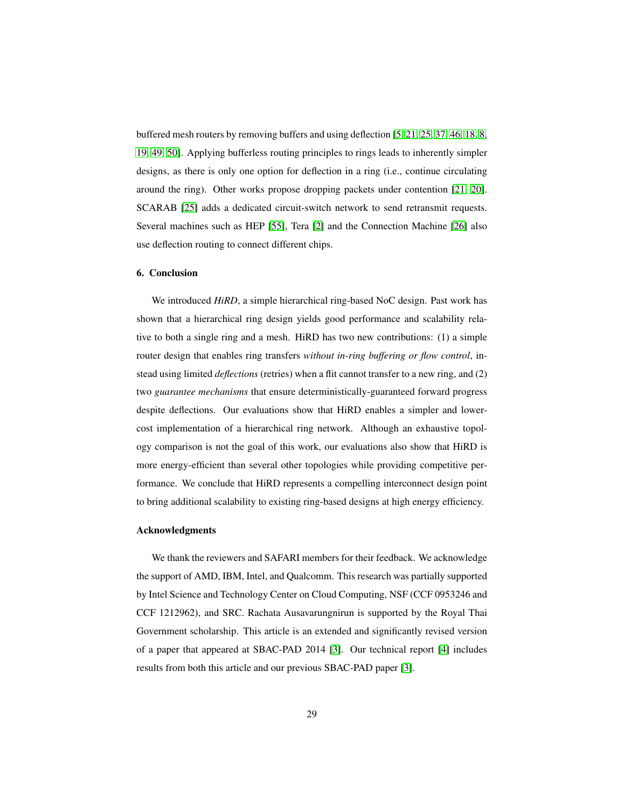buffered mesh routers by removing buffers and using deflection [\[5,](#page-29-5) [21,](#page-29-30) [25,](#page-29-12) [37,](#page-30-30) [46,](#page-30-6) [18,](#page-29-10) [8,](#page-29-14) [19,](#page-29-11) [49,](#page-30-7) [50\]](#page-30-8). Applying bufferless routing principles to rings leads to inherently simpler designs, as there is only one option for deflection in a ring (i.e., continue circulating around the ring). Other works propose dropping packets under contention [\[21,](#page-29-30) [20\]](#page-29-8). SCARAB [\[25\]](#page-29-12) adds a dedicated circuit-switch network to send retransmit requests. Several machines such as HEP [\[55\]](#page-30-5), Tera [\[2\]](#page-29-7) and the Connection Machine [\[26\]](#page-29-6) also use deflection routing to connect different chips.

## 6. Conclusion

We introduced *HiRD*, a simple hierarchical ring-based NoC design. Past work has shown that a hierarchical ring design yields good performance and scalability relative to both a single ring and a mesh. HiRD has two new contributions: (1) a simple router design that enables ring transfers *without in-ring buffering or flow control*, instead using limited *deflections* (retries) when a flit cannot transfer to a new ring, and (2) two *guarantee mechanisms* that ensure deterministically-guaranteed forward progress despite deflections. Our evaluations show that HiRD enables a simpler and lowercost implementation of a hierarchical ring network. Although an exhaustive topology comparison is not the goal of this work, our evaluations also show that HiRD is more energy-efficient than several other topologies while providing competitive performance. We conclude that HiRD represents a compelling interconnect design point to bring additional scalability to existing ring-based designs at high energy efficiency.

#### Acknowledgments

We thank the reviewers and SAFARI members for their feedback. We acknowledge the support of AMD, IBM, Intel, and Qualcomm. This research was partially supported by Intel Science and Technology Center on Cloud Computing, NSF (CCF 0953246 and CCF 1212962), and SRC. Rachata Ausavarungnirun is supported by the Royal Thai Government scholarship. This article is an extended and significantly revised version of a paper that appeared at SBAC-PAD 2014 [\[3\]](#page-29-9). Our technical report [\[4\]](#page-29-31) includes results from both this article and our previous SBAC-PAD paper [\[3\]](#page-29-9).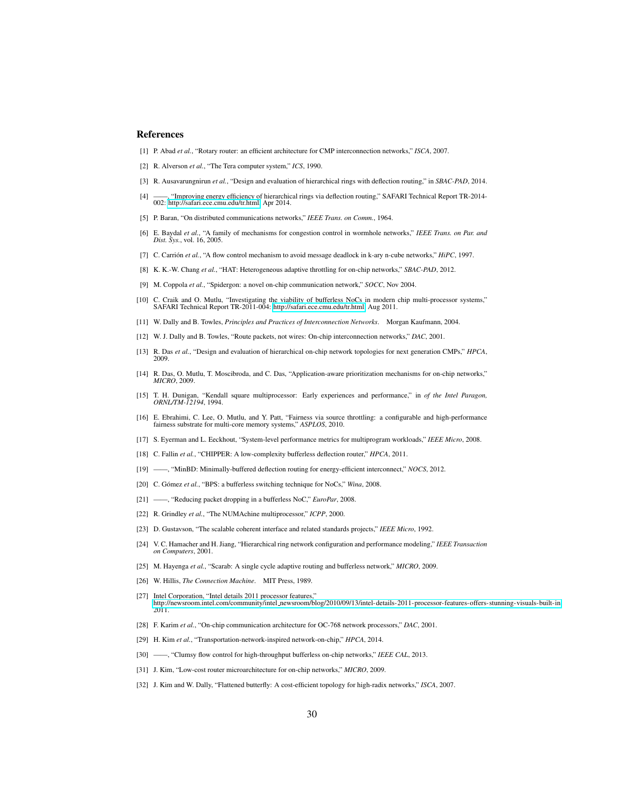### References

- <span id="page-29-29"></span>[1] P. Abad *et al.*, "Rotary router: an efficient architecture for CMP interconnection networks," *ISCA*, 2007.
- <span id="page-29-7"></span>[2] R. Alverson *et al.*, "The Tera computer system," *ICS*, 1990.
- <span id="page-29-9"></span>[3] R. Ausavarungnirun *et al.*, "Design and evaluation of hierarchical rings with deflection routing," in *SBAC-PAD*, 2014.
- <span id="page-29-31"></span>[4] ——, "Improving energy efficiency of hierarchical rings via deflection routing," SAFARI Technical Report TR-2014- 002: [http://safari.ece.cmu.edu/tr.html,](http://safari.ece.cmu.edu/tr.html) Apr 2014.
- <span id="page-29-5"></span>[5] P. Baran, "On distributed communications networks," *IEEE Trans. on Comm.*, 1964.
- <span id="page-29-20"></span>[6] E. Baydal *et al.*, "A family of mechanisms for congestion control in wormhole networks," *IEEE Trans. on Par. and Dist. Sys.*, vol. 16, 2005.
- <span id="page-29-15"></span>[7] C. Carrión et al., "A flow control mechanism to avoid message deadlock in k-ary n-cube networks," *HiPC*, 1997.
- <span id="page-29-14"></span>[8] K. K.-W. Chang *et al.*, "HAT: Heterogeneous adaptive throttling for on-chip networks," *SBAC-PAD*, 2012.
- <span id="page-29-27"></span>[9] M. Coppola *et al.*, "Spidergon: a novel on-chip communication network," *SOCC*, Nov 2004.
- <span id="page-29-16"></span>[10] C. Craik and O. Mutlu, "Investigating the viability of bufferless NoCs in modern chip multi-processor systems," SAFARI Technical Report TR-2011-004: [http://safari.ece.cmu.edu/tr.html,](http://safari.ece.cmu.edu/tr.html) Aug 2011.
- <span id="page-29-1"></span>[11] W. Dally and B. Towles, *Principles and Practices of Interconnection Networks*. Morgan Kaufmann, 2004.
- <span id="page-29-0"></span>[12] W. J. Dally and B. Towles, "Route packets, not wires: On-chip interconnection networks," *DAC*, 2001.
- <span id="page-29-24"></span>[13] R. Das *et al.*, "Design and evaluation of hierarchical on-chip network topologies for next generation CMPs," *HPCA*, 2009.
- <span id="page-29-18"></span>[14] R. Das, O. Mutlu, T. Moscibroda, and C. Das, "Application-aware prioritization mechanisms for on-chip networks," *MICRO*, 2009.
- <span id="page-29-26"></span>[15] T. H. Dunigan, "Kendall square multiprocessor: Early experiences and performance," in *of the Intel Paragon, ORNL/TM-12194*, 1994.
- <span id="page-29-19"></span>[16] E. Ebrahimi, C. Lee, O. Mutlu, and Y. Patt, "Fairness via source throttling: a configurable and high-performance fairness substrate for multi-core memory systems," *ASPLOS*, 2010.
- <span id="page-29-17"></span>[17] S. Eyerman and L. Eeckhout, "System-level performance metrics for multiprogram workloads," *IEEE Micro*, 2008.
- <span id="page-29-10"></span>[18] C. Fallin *et al.*, "CHIPPER: A low-complexity bufferless deflection router," *HPCA*, 2011.
- <span id="page-29-11"></span>[19] ——, "MinBD: Minimally-buffered deflection routing for energy-efficient interconnect," *NOCS*, 2012.
- <span id="page-29-8"></span>[20] C. Gómez et al., "BPS: a bufferless switching technique for NoCs," *Wina*, 2008.
- <span id="page-29-30"></span>[21] ——, "Reducing packet dropping in a bufferless NoC," *EuroPar*, 2008.
- <span id="page-29-4"></span>[22] R. Grindley *et al.*, "The NUMAchine multiprocessor," *ICPP*, 2000.
- <span id="page-29-25"></span>[23] D. Gustavson, "The scalable coherent interface and related standards projects," *IEEE Micro*, 1992.
- <span id="page-29-3"></span>[24] V. C. Hamacher and H. Jiang, "Hierarchical ring network configuration and performance modeling," *IEEE Transaction on Computers*, 2001.
- <span id="page-29-12"></span>[25] M. Hayenga *et al.*, "Scarab: A single cycle adaptive routing and bufferless network," *MICRO*, 2009.
- <span id="page-29-6"></span>[26] W. Hillis, *The Connection Machine*. MIT Press, 1989.
- <span id="page-29-2"></span>[27] Intel Corporation, "Intel details 2011 processor features," http://newsroom.intel.com/community/intel\_[newsroom/blog/2010/09/13/intel-details-2011-processor-features-offers-stunning-visuals-built-in,](http://newsroom.intel.com/community/intel_newsroom/blog/2010/09/13/intel-details-2011-processor-features-offers-stunning-visuals-built-in)<br>2011.
- <span id="page-29-28"></span>[28] F. Karim *et al.*, "On-chip communication architecture for OC-768 network processors," *DAC*, 2001.
- <span id="page-29-22"></span>[29] H. Kim *et al.*, "Transportation-network-inspired network-on-chip," *HPCA*, 2014.
- <span id="page-29-23"></span>[30] ——, "Clumsy flow control for high-throughput bufferless on-chip networks," *IEEE CAL*, 2013.
- <span id="page-29-13"></span>[31] J. Kim, "Low-cost router microarchitecture for on-chip networks," *MICRO*, 2009.
- <span id="page-29-21"></span>[32] J. Kim and W. Dally, "Flattened butterfly: A cost-efficient topology for high-radix networks," *ISCA*, 2007.